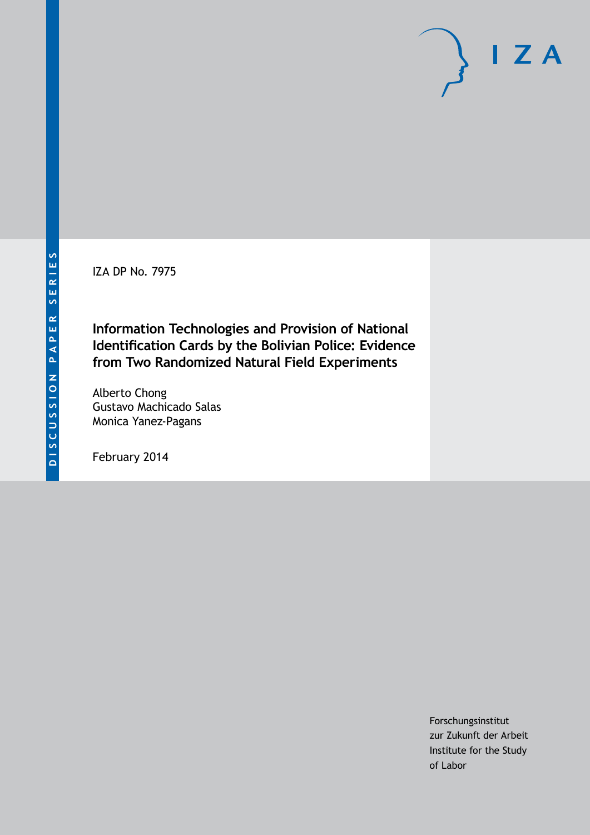IZA DP No. 7975

**Information Technologies and Provision of National Identification Cards by the Bolivian Police: Evidence from Two Randomized Natural Field Experiments**

Alberto Chong Gustavo Machicado Salas Monica Yanez-Pagans

February 2014

Forschungsinstitut zur Zukunft der Arbeit Institute for the Study of Labor

 $I Z A$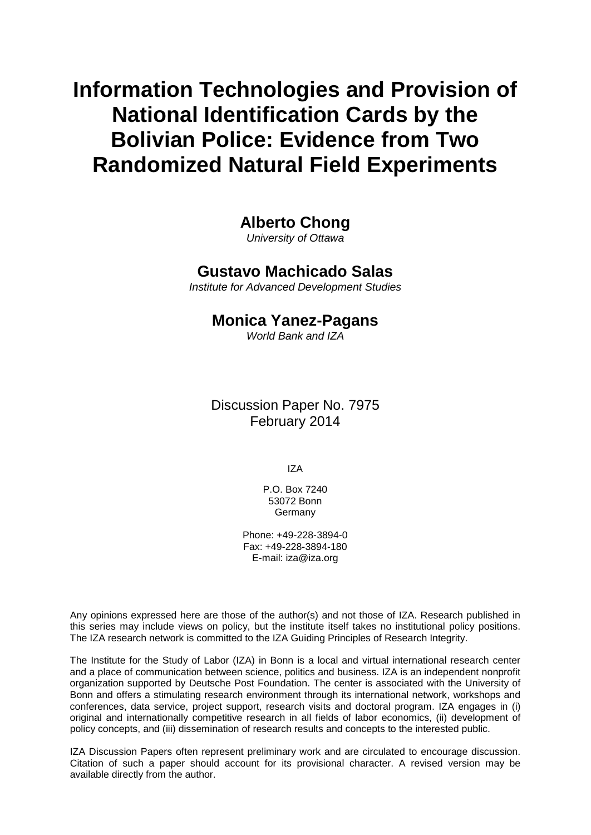**Information Technologies and Provision of National Identification Cards by the Bolivian Police: Evidence from Two Randomized Natural Field Experiments**

**Alberto Chong**

*University of Ottawa*

## **Gustavo Machicado Salas**

*Institute for Advanced Development Studies*

## **Monica Yanez-Pagans**

*World Bank and IZA*

Discussion Paper No. 7975 February 2014

IZA

P.O. Box 7240 53072 Bonn Germany

Phone: +49-228-3894-0 Fax: +49-228-3894-180 E-mail: [iza@iza.org](mailto:iza@iza.org)

Any opinions expressed here are those of the author(s) and not those of IZA. Research published in this series may include views on policy, but the institute itself takes no institutional policy positions. The IZA research network is committed to the IZA Guiding Principles of Research Integrity.

The Institute for the Study of Labor (IZA) in Bonn is a local and virtual international research center and a place of communication between science, politics and business. IZA is an independent nonprofit organization supported by Deutsche Post Foundation. The center is associated with the University of Bonn and offers a stimulating research environment through its international network, workshops and conferences, data service, project support, research visits and doctoral program. IZA engages in (i) original and internationally competitive research in all fields of labor economics, (ii) development of policy concepts, and (iii) dissemination of research results and concepts to the interested public.

<span id="page-1-0"></span>IZA Discussion Papers often represent preliminary work and are circulated to encourage discussion. Citation of such a paper should account for its provisional character. A revised version may be available directly from the author.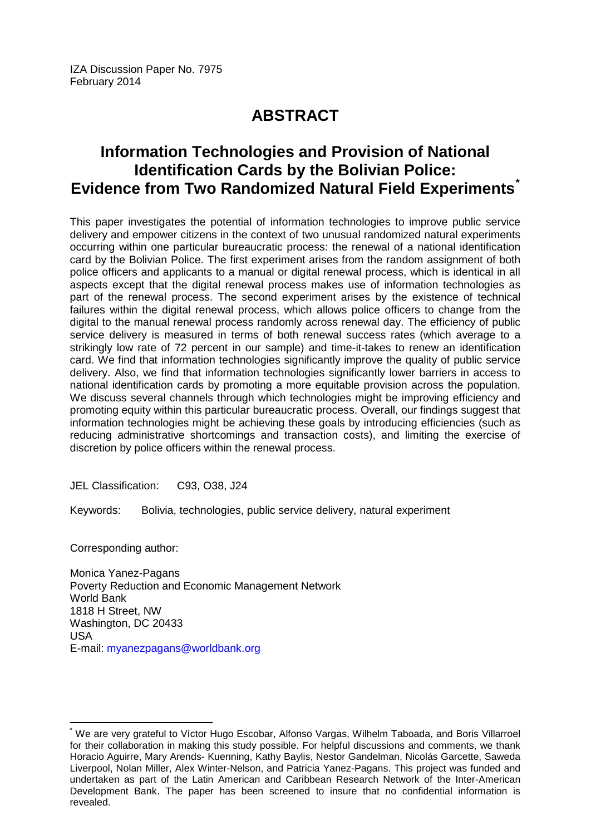IZA Discussion Paper No. 7975 February 2014

# **ABSTRACT**

# **Information Technologies and Provision of National Identification Cards by the Bolivian Police: Evidence from Two Randomized Natural Field Experiments[\\*](#page-1-0)**

This paper investigates the potential of information technologies to improve public service delivery and empower citizens in the context of two unusual randomized natural experiments occurring within one particular bureaucratic process: the renewal of a national identification card by the Bolivian Police. The first experiment arises from the random assignment of both police officers and applicants to a manual or digital renewal process, which is identical in all aspects except that the digital renewal process makes use of information technologies as part of the renewal process. The second experiment arises by the existence of technical failures within the digital renewal process, which allows police officers to change from the digital to the manual renewal process randomly across renewal day. The efficiency of public service delivery is measured in terms of both renewal success rates (which average to a strikingly low rate of 72 percent in our sample) and time-it-takes to renew an identification card. We find that information technologies significantly improve the quality of public service delivery. Also, we find that information technologies significantly lower barriers in access to national identification cards by promoting a more equitable provision across the population. We discuss several channels through which technologies might be improving efficiency and promoting equity within this particular bureaucratic process. Overall, our findings suggest that information technologies might be achieving these goals by introducing efficiencies (such as reducing administrative shortcomings and transaction costs), and limiting the exercise of discretion by police officers within the renewal process.

JEL Classification: C93, O38, J24

Keywords: Bolivia, technologies, public service delivery, natural experiment

Corresponding author:

Monica Yanez-Pagans Poverty Reduction and Economic Management Network World Bank 1818 H Street, NW Washington, DC 20433 USA E-mail: [myanezpagans@worldbank.org](mailto:myanezpagans@worldbank.org)

We are very grateful to Víctor Hugo Escobar, Alfonso Vargas, Wilhelm Taboada, and Boris Villarroel for their collaboration in making this study possible. For helpful discussions and comments, we thank Horacio Aguirre, Mary Arends- Kuenning, Kathy Baylis, Nestor Gandelman, Nicolás Garcette, Saweda Liverpool, Nolan Miller, Alex Winter-Nelson, and Patricia Yanez-Pagans. This project was funded and undertaken as part of the Latin American and Caribbean Research Network of the Inter-American Development Bank. The paper has been screened to insure that no confidential information is revealed.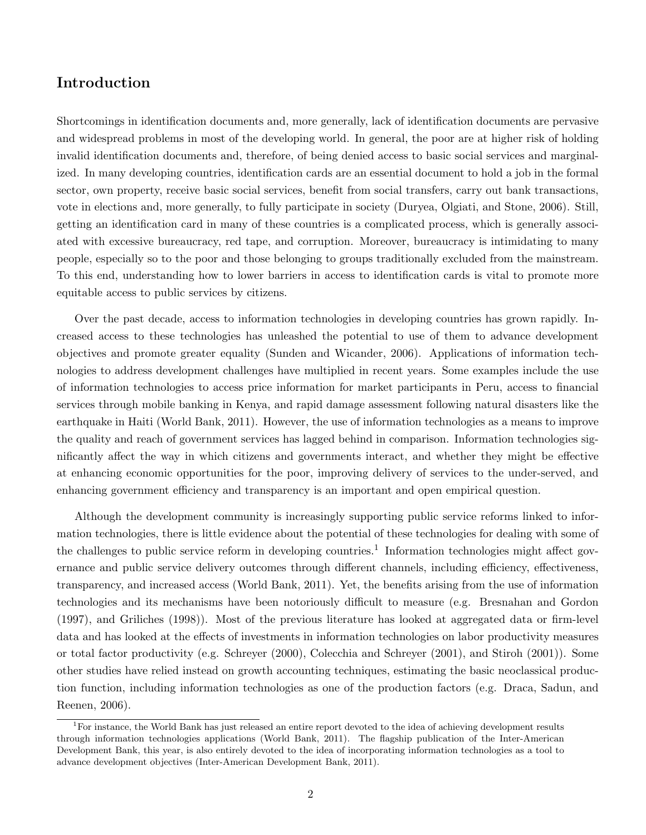### Introduction

Shortcomings in identification documents and, more generally, lack of identification documents are pervasive and widespread problems in most of the developing world. In general, the poor are at higher risk of holding invalid identification documents and, therefore, of being denied access to basic social services and marginalized. In many developing countries, identification cards are an essential document to hold a job in the formal sector, own property, receive basic social services, benefit from social transfers, carry out bank transactions, vote in elections and, more generally, to fully participate in society (Duryea, Olgiati, and Stone, 2006). Still, getting an identification card in many of these countries is a complicated process, which is generally associated with excessive bureaucracy, red tape, and corruption. Moreover, bureaucracy is intimidating to many people, especially so to the poor and those belonging to groups traditionally excluded from the mainstream. To this end, understanding how to lower barriers in access to identification cards is vital to promote more equitable access to public services by citizens.

Over the past decade, access to information technologies in developing countries has grown rapidly. Increased access to these technologies has unleashed the potential to use of them to advance development objectives and promote greater equality (Sunden and Wicander, 2006). Applications of information technologies to address development challenges have multiplied in recent years. Some examples include the use of information technologies to access price information for market participants in Peru, access to financial services through mobile banking in Kenya, and rapid damage assessment following natural disasters like the earthquake in Haiti (World Bank, 2011). However, the use of information technologies as a means to improve the quality and reach of government services has lagged behind in comparison. Information technologies significantly affect the way in which citizens and governments interact, and whether they might be effective at enhancing economic opportunities for the poor, improving delivery of services to the under-served, and enhancing government efficiency and transparency is an important and open empirical question.

Although the development community is increasingly supporting public service reforms linked to information technologies, there is little evidence about the potential of these technologies for dealing with some of the challenges to public service reform in developing countries.<sup>1</sup> Information technologies might affect governance and public service delivery outcomes through different channels, including efficiency, effectiveness, transparency, and increased access (World Bank, 2011). Yet, the benefits arising from the use of information technologies and its mechanisms have been notoriously difficult to measure (e.g. Bresnahan and Gordon (1997), and Griliches (1998)). Most of the previous literature has looked at aggregated data or firm-level data and has looked at the effects of investments in information technologies on labor productivity measures or total factor productivity (e.g. Schreyer (2000), Colecchia and Schreyer (2001), and Stiroh (2001)). Some other studies have relied instead on growth accounting techniques, estimating the basic neoclassical production function, including information technologies as one of the production factors (e.g. Draca, Sadun, and Reenen, 2006).

 ${}^{1}$ For instance, the World Bank has just released an entire report devoted to the idea of achieving development results through information technologies applications (World Bank, 2011). The flagship publication of the Inter-American Development Bank, this year, is also entirely devoted to the idea of incorporating information technologies as a tool to advance development objectives (Inter-American Development Bank, 2011).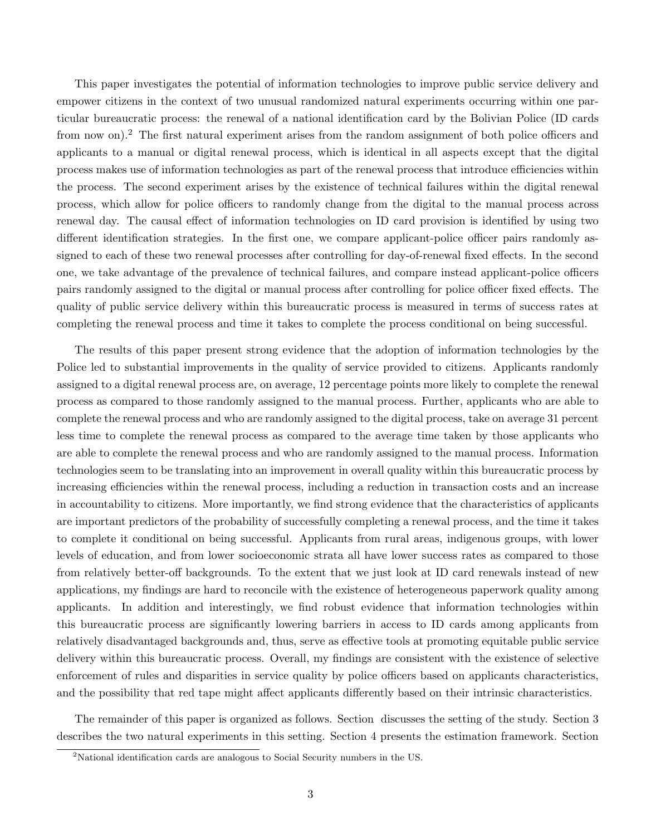This paper investigates the potential of information technologies to improve public service delivery and empower citizens in the context of two unusual randomized natural experiments occurring within one particular bureaucratic process: the renewal of a national identification card by the Bolivian Police (ID cards from now on).<sup>2</sup> The first natural experiment arises from the random assignment of both police officers and applicants to a manual or digital renewal process, which is identical in all aspects except that the digital process makes use of information technologies as part of the renewal process that introduce efficiencies within the process. The second experiment arises by the existence of technical failures within the digital renewal process, which allow for police officers to randomly change from the digital to the manual process across renewal day. The causal effect of information technologies on ID card provision is identified by using two different identification strategies. In the first one, we compare applicant-police officer pairs randomly assigned to each of these two renewal processes after controlling for day-of-renewal fixed effects. In the second one, we take advantage of the prevalence of technical failures, and compare instead applicant-police officers pairs randomly assigned to the digital or manual process after controlling for police officer fixed effects. The quality of public service delivery within this bureaucratic process is measured in terms of success rates at completing the renewal process and time it takes to complete the process conditional on being successful.

The results of this paper present strong evidence that the adoption of information technologies by the Police led to substantial improvements in the quality of service provided to citizens. Applicants randomly assigned to a digital renewal process are, on average, 12 percentage points more likely to complete the renewal process as compared to those randomly assigned to the manual process. Further, applicants who are able to complete the renewal process and who are randomly assigned to the digital process, take on average 31 percent less time to complete the renewal process as compared to the average time taken by those applicants who are able to complete the renewal process and who are randomly assigned to the manual process. Information technologies seem to be translating into an improvement in overall quality within this bureaucratic process by increasing efficiencies within the renewal process, including a reduction in transaction costs and an increase in accountability to citizens. More importantly, we find strong evidence that the characteristics of applicants are important predictors of the probability of successfully completing a renewal process, and the time it takes to complete it conditional on being successful. Applicants from rural areas, indigenous groups, with lower levels of education, and from lower socioeconomic strata all have lower success rates as compared to those from relatively better-off backgrounds. To the extent that we just look at ID card renewals instead of new applications, my findings are hard to reconcile with the existence of heterogeneous paperwork quality among applicants. In addition and interestingly, we find robust evidence that information technologies within this bureaucratic process are significantly lowering barriers in access to ID cards among applicants from relatively disadvantaged backgrounds and, thus, serve as effective tools at promoting equitable public service delivery within this bureaucratic process. Overall, my findings are consistent with the existence of selective enforcement of rules and disparities in service quality by police officers based on applicants characteristics, and the possibility that red tape might affect applicants differently based on their intrinsic characteristics.

The remainder of this paper is organized as follows. Section discusses the setting of the study. Section 3 describes the two natural experiments in this setting. Section 4 presents the estimation framework. Section

<sup>2</sup>National identification cards are analogous to Social Security numbers in the US.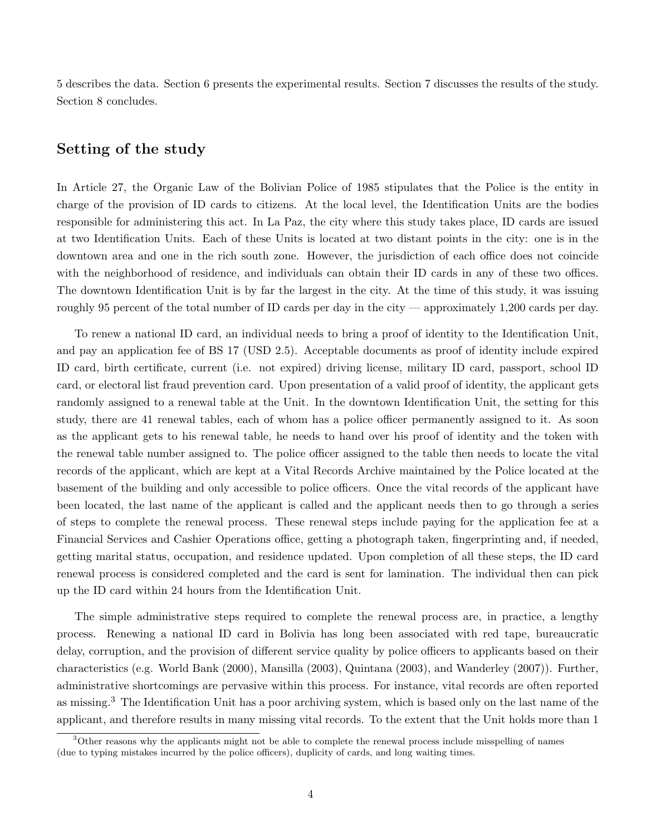5 describes the data. Section 6 presents the experimental results. Section 7 discusses the results of the study. Section 8 concludes.

### Setting of the study

In Article 27, the Organic Law of the Bolivian Police of 1985 stipulates that the Police is the entity in charge of the provision of ID cards to citizens. At the local level, the Identification Units are the bodies responsible for administering this act. In La Paz, the city where this study takes place, ID cards are issued at two Identification Units. Each of these Units is located at two distant points in the city: one is in the downtown area and one in the rich south zone. However, the jurisdiction of each office does not coincide with the neighborhood of residence, and individuals can obtain their ID cards in any of these two offices. The downtown Identification Unit is by far the largest in the city. At the time of this study, it was issuing roughly 95 percent of the total number of ID cards per day in the city — approximately 1,200 cards per day.

To renew a national ID card, an individual needs to bring a proof of identity to the Identification Unit, and pay an application fee of BS 17 (USD 2.5). Acceptable documents as proof of identity include expired ID card, birth certificate, current (i.e. not expired) driving license, military ID card, passport, school ID card, or electoral list fraud prevention card. Upon presentation of a valid proof of identity, the applicant gets randomly assigned to a renewal table at the Unit. In the downtown Identification Unit, the setting for this study, there are 41 renewal tables, each of whom has a police officer permanently assigned to it. As soon as the applicant gets to his renewal table, he needs to hand over his proof of identity and the token with the renewal table number assigned to. The police officer assigned to the table then needs to locate the vital records of the applicant, which are kept at a Vital Records Archive maintained by the Police located at the basement of the building and only accessible to police officers. Once the vital records of the applicant have been located, the last name of the applicant is called and the applicant needs then to go through a series of steps to complete the renewal process. These renewal steps include paying for the application fee at a Financial Services and Cashier Operations office, getting a photograph taken, fingerprinting and, if needed, getting marital status, occupation, and residence updated. Upon completion of all these steps, the ID card renewal process is considered completed and the card is sent for lamination. The individual then can pick up the ID card within 24 hours from the Identification Unit.

The simple administrative steps required to complete the renewal process are, in practice, a lengthy process. Renewing a national ID card in Bolivia has long been associated with red tape, bureaucratic delay, corruption, and the provision of different service quality by police officers to applicants based on their characteristics (e.g. World Bank (2000), Mansilla (2003), Quintana (2003), and Wanderley (2007)). Further, administrative shortcomings are pervasive within this process. For instance, vital records are often reported as missing.<sup>3</sup> The Identification Unit has a poor archiving system, which is based only on the last name of the applicant, and therefore results in many missing vital records. To the extent that the Unit holds more than 1

<sup>&</sup>lt;sup>3</sup>Other reasons why the applicants might not be able to complete the renewal process include misspelling of names (due to typing mistakes incurred by the police officers), duplicity of cards, and long waiting times.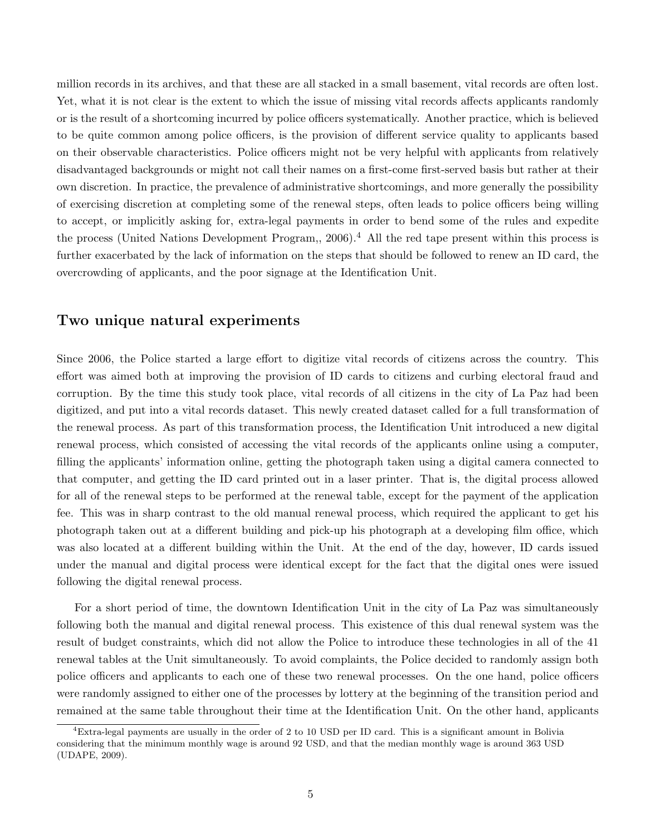million records in its archives, and that these are all stacked in a small basement, vital records are often lost. Yet, what it is not clear is the extent to which the issue of missing vital records affects applicants randomly or is the result of a shortcoming incurred by police officers systematically. Another practice, which is believed to be quite common among police officers, is the provision of different service quality to applicants based on their observable characteristics. Police officers might not be very helpful with applicants from relatively disadvantaged backgrounds or might not call their names on a first-come first-served basis but rather at their own discretion. In practice, the prevalence of administrative shortcomings, and more generally the possibility of exercising discretion at completing some of the renewal steps, often leads to police officers being willing to accept, or implicitly asking for, extra-legal payments in order to bend some of the rules and expedite the process (United Nations Development Program,,  $2006$ ).<sup>4</sup> All the red tape present within this process is further exacerbated by the lack of information on the steps that should be followed to renew an ID card, the overcrowding of applicants, and the poor signage at the Identification Unit.

### Two unique natural experiments

Since 2006, the Police started a large effort to digitize vital records of citizens across the country. This effort was aimed both at improving the provision of ID cards to citizens and curbing electoral fraud and corruption. By the time this study took place, vital records of all citizens in the city of La Paz had been digitized, and put into a vital records dataset. This newly created dataset called for a full transformation of the renewal process. As part of this transformation process, the Identification Unit introduced a new digital renewal process, which consisted of accessing the vital records of the applicants online using a computer, filling the applicants' information online, getting the photograph taken using a digital camera connected to that computer, and getting the ID card printed out in a laser printer. That is, the digital process allowed for all of the renewal steps to be performed at the renewal table, except for the payment of the application fee. This was in sharp contrast to the old manual renewal process, which required the applicant to get his photograph taken out at a different building and pick-up his photograph at a developing film office, which was also located at a different building within the Unit. At the end of the day, however, ID cards issued under the manual and digital process were identical except for the fact that the digital ones were issued following the digital renewal process.

For a short period of time, the downtown Identification Unit in the city of La Paz was simultaneously following both the manual and digital renewal process. This existence of this dual renewal system was the result of budget constraints, which did not allow the Police to introduce these technologies in all of the 41 renewal tables at the Unit simultaneously. To avoid complaints, the Police decided to randomly assign both police officers and applicants to each one of these two renewal processes. On the one hand, police officers were randomly assigned to either one of the processes by lottery at the beginning of the transition period and remained at the same table throughout their time at the Identification Unit. On the other hand, applicants

 ${}^{4}$ Extra-legal payments are usually in the order of 2 to 10 USD per ID card. This is a significant amount in Bolivia considering that the minimum monthly wage is around 92 USD, and that the median monthly wage is around 363 USD (UDAPE, 2009).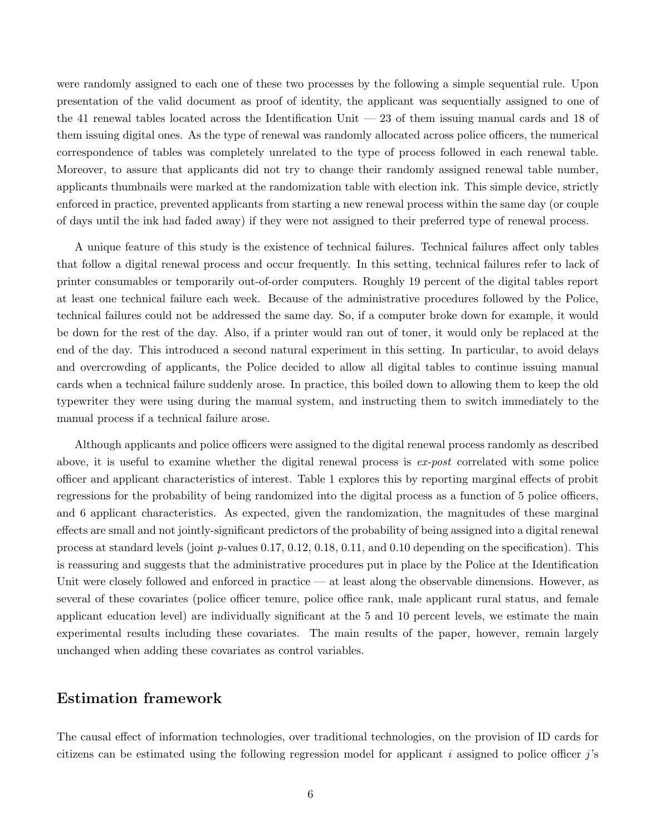were randomly assigned to each one of these two processes by the following a simple sequential rule. Upon presentation of the valid document as proof of identity, the applicant was sequentially assigned to one of the 41 renewal tables located across the Identification Unit  $-23$  of them issuing manual cards and 18 of them issuing digital ones. As the type of renewal was randomly allocated across police officers, the numerical correspondence of tables was completely unrelated to the type of process followed in each renewal table. Moreover, to assure that applicants did not try to change their randomly assigned renewal table number, applicants thumbnails were marked at the randomization table with election ink. This simple device, strictly enforced in practice, prevented applicants from starting a new renewal process within the same day (or couple of days until the ink had faded away) if they were not assigned to their preferred type of renewal process.

A unique feature of this study is the existence of technical failures. Technical failures affect only tables that follow a digital renewal process and occur frequently. In this setting, technical failures refer to lack of printer consumables or temporarily out-of-order computers. Roughly 19 percent of the digital tables report at least one technical failure each week. Because of the administrative procedures followed by the Police, technical failures could not be addressed the same day. So, if a computer broke down for example, it would be down for the rest of the day. Also, if a printer would ran out of toner, it would only be replaced at the end of the day. This introduced a second natural experiment in this setting. In particular, to avoid delays and overcrowding of applicants, the Police decided to allow all digital tables to continue issuing manual cards when a technical failure suddenly arose. In practice, this boiled down to allowing them to keep the old typewriter they were using during the manual system, and instructing them to switch immediately to the manual process if a technical failure arose.

Although applicants and police officers were assigned to the digital renewal process randomly as described above, it is useful to examine whether the digital renewal process is  $ex\text{-}post$  correlated with some police officer and applicant characteristics of interest. Table 1 explores this by reporting marginal effects of probit regressions for the probability of being randomized into the digital process as a function of 5 police officers, and 6 applicant characteristics. As expected, given the randomization, the magnitudes of these marginal effects are small and not jointly-significant predictors of the probability of being assigned into a digital renewal process at standard levels (joint  $p$ -values 0.17, 0.12, 0.18, 0.11, and 0.10 depending on the specification). This is reassuring and suggests that the administrative procedures put in place by the Police at the Identification Unit were closely followed and enforced in practice — at least along the observable dimensions. However, as several of these covariates (police officer tenure, police office rank, male applicant rural status, and female applicant education level) are individually significant at the 5 and 10 percent levels, we estimate the main experimental results including these covariates. The main results of the paper, however, remain largely unchanged when adding these covariates as control variables.

### Estimation framework

The causal effect of information technologies, over traditional technologies, on the provision of ID cards for citizens can be estimated using the following regression model for applicant  $i$  assigned to police officer  $j$ 's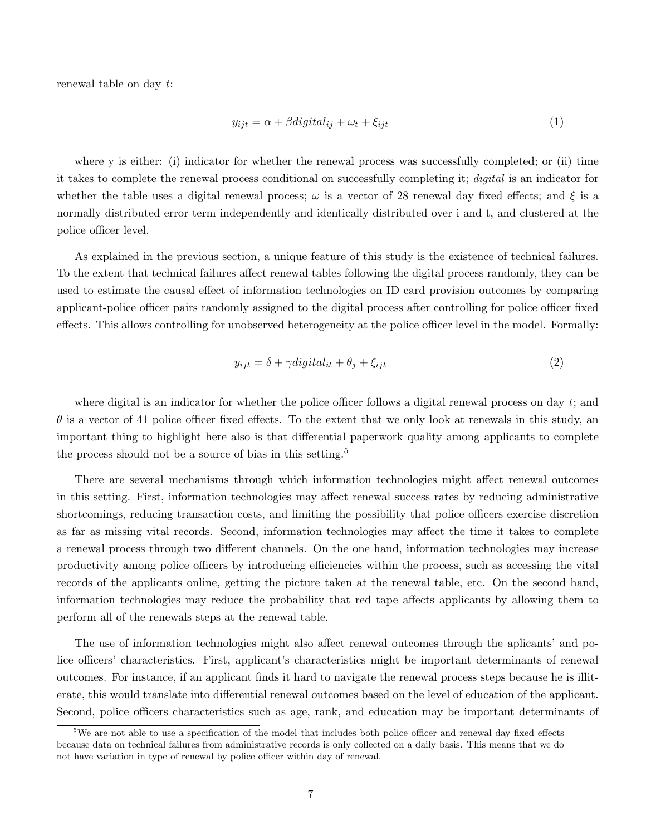renewal table on day t:

$$
y_{ijt} = \alpha + \beta \text{digital}_{ij} + \omega_t + \xi_{ijt} \tag{1}
$$

where y is either: (i) indicator for whether the renewal process was successfully completed; or (ii) time it takes to complete the renewal process conditional on successfully completing it; digital is an indicator for whether the table uses a digital renewal process;  $\omega$  is a vector of 28 renewal day fixed effects; and  $\xi$  is a normally distributed error term independently and identically distributed over i and t, and clustered at the police officer level.

As explained in the previous section, a unique feature of this study is the existence of technical failures. To the extent that technical failures affect renewal tables following the digital process randomly, they can be used to estimate the causal effect of information technologies on ID card provision outcomes by comparing applicant-police officer pairs randomly assigned to the digital process after controlling for police officer fixed effects. This allows controlling for unobserved heterogeneity at the police officer level in the model. Formally:

$$
y_{ijt} = \delta + \gamma digital_{it} + \theta_j + \xi_{ijt}
$$
\n<sup>(2)</sup>

where digital is an indicator for whether the police officer follows a digital renewal process on day  $t$ ; and  $\theta$  is a vector of 41 police officer fixed effects. To the extent that we only look at renewals in this study, an important thing to highlight here also is that differential paperwork quality among applicants to complete the process should not be a source of bias in this setting.<sup>5</sup>

There are several mechanisms through which information technologies might affect renewal outcomes in this setting. First, information technologies may affect renewal success rates by reducing administrative shortcomings, reducing transaction costs, and limiting the possibility that police officers exercise discretion as far as missing vital records. Second, information technologies may affect the time it takes to complete a renewal process through two different channels. On the one hand, information technologies may increase productivity among police officers by introducing efficiencies within the process, such as accessing the vital records of the applicants online, getting the picture taken at the renewal table, etc. On the second hand, information technologies may reduce the probability that red tape affects applicants by allowing them to perform all of the renewals steps at the renewal table.

The use of information technologies might also affect renewal outcomes through the aplicants' and police officers' characteristics. First, applicant's characteristics might be important determinants of renewal outcomes. For instance, if an applicant finds it hard to navigate the renewal process steps because he is illiterate, this would translate into differential renewal outcomes based on the level of education of the applicant. Second, police officers characteristics such as age, rank, and education may be important determinants of

<sup>&</sup>lt;sup>5</sup>We are not able to use a specification of the model that includes both police officer and renewal day fixed effects because data on technical failures from administrative records is only collected on a daily basis. This means that we do not have variation in type of renewal by police officer within day of renewal.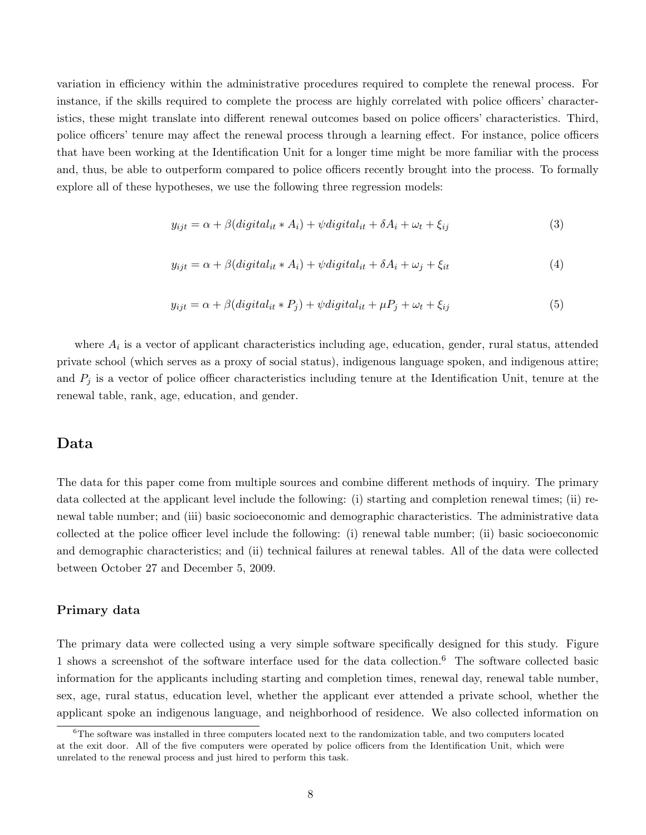variation in efficiency within the administrative procedures required to complete the renewal process. For instance, if the skills required to complete the process are highly correlated with police officers' characteristics, these might translate into different renewal outcomes based on police officers' characteristics. Third, police officers' tenure may affect the renewal process through a learning effect. For instance, police officers that have been working at the Identification Unit for a longer time might be more familiar with the process and, thus, be able to outperform compared to police officers recently brought into the process. To formally explore all of these hypotheses, we use the following three regression models:

$$
y_{ijt} = \alpha + \beta (digital_{it} * A_i) + \psi digital_{it} + \delta A_i + \omega_t + \xi_{ij}
$$
\n(3)

$$
y_{ijt} = \alpha + \beta (digital_{it} * A_i) + \psi digital_{it} + \delta A_i + \omega_j + \xi_{it}
$$
\n(4)

$$
y_{ijt} = \alpha + \beta (digital_{it} * P_j) + \psi digital_{it} + \mu P_j + \omega_t + \xi_{ij}
$$
\n
$$
\tag{5}
$$

where  $A_i$  is a vector of applicant characteristics including age, education, gender, rural status, attended private school (which serves as a proxy of social status), indigenous language spoken, and indigenous attire; and  $P_i$  is a vector of police officer characteristics including tenure at the Identification Unit, tenure at the renewal table, rank, age, education, and gender.

### Data

The data for this paper come from multiple sources and combine different methods of inquiry. The primary data collected at the applicant level include the following: (i) starting and completion renewal times; (ii) renewal table number; and (iii) basic socioeconomic and demographic characteristics. The administrative data collected at the police officer level include the following: (i) renewal table number; (ii) basic socioeconomic and demographic characteristics; and (ii) technical failures at renewal tables. All of the data were collected between October 27 and December 5, 2009.

#### Primary data

The primary data were collected using a very simple software specifically designed for this study. Figure 1 shows a screenshot of the software interface used for the data collection.<sup>6</sup> The software collected basic information for the applicants including starting and completion times, renewal day, renewal table number, sex, age, rural status, education level, whether the applicant ever attended a private school, whether the applicant spoke an indigenous language, and neighborhood of residence. We also collected information on

 $6$ The software was installed in three computers located next to the randomization table, and two computers located at the exit door. All of the five computers were operated by police officers from the Identification Unit, which were unrelated to the renewal process and just hired to perform this task.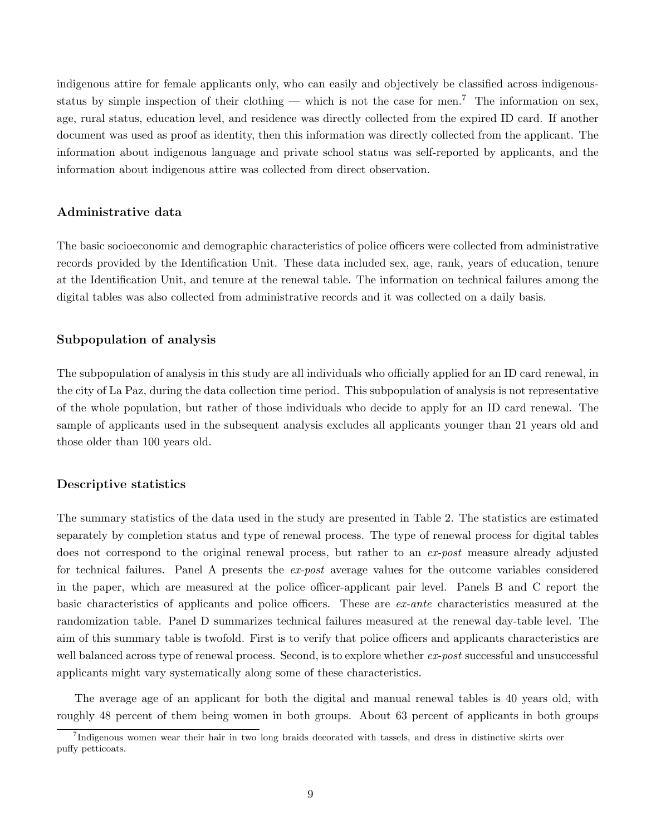indigenous attire for female applicants only, who can easily and objectively be classified across indigenousstatus by simple inspection of their clothing — which is not the case for men.<sup>7</sup> The information on sex, age, rural status, education level, and residence was directly collected from the expired ID card. If another document was used as proof as identity, then this information was directly collected from the applicant. The information about indigenous language and private school status was self-reported by applicants, and the information about indigenous attire was collected from direct observation.

#### Administrative data

The basic socioeconomic and demographic characteristics of police officers were collected from administrative records provided by the Identification Unit. These data included sex, age, rank, years of education, tenure at the Identification Unit, and tenure at the renewal table. The information on technical failures among the digital tables was also collected from administrative records and it was collected on a daily basis.

#### Subpopulation of analysis

The subpopulation of analysis in this study are all individuals who officially applied for an ID card renewal, in the city of La Paz, during the data collection time period. This subpopulation of analysis is not representative of the whole population, but rather of those individuals who decide to apply for an ID card renewal. The sample of applicants used in the subsequent analysis excludes all applicants younger than 21 years old and those older than 100 years old.

#### Descriptive statistics

The summary statistics of the data used in the study are presented in Table 2. The statistics are estimated separately by completion status and type of renewal process. The type of renewal process for digital tables does not correspond to the original renewal process, but rather to an ex-post measure already adjusted for technical failures. Panel A presents the ex-post average values for the outcome variables considered in the paper, which are measured at the police officer-applicant pair level. Panels B and C report the basic characteristics of applicants and police officers. These are ex-ante characteristics measured at the randomization table. Panel D summarizes technical failures measured at the renewal day-table level. The aim of this summary table is twofold. First is to verify that police officers and applicants characteristics are well balanced across type of renewal process. Second, is to explore whether  $ex\text{-}post$  successful and unsuccessful applicants might vary systematically along some of these characteristics.

The average age of an applicant for both the digital and manual renewal tables is 40 years old, with roughly 48 percent of them being women in both groups. About 63 percent of applicants in both groups

<sup>7</sup> Indigenous women wear their hair in two long braids decorated with tassels, and dress in distinctive skirts over puffy petticoats.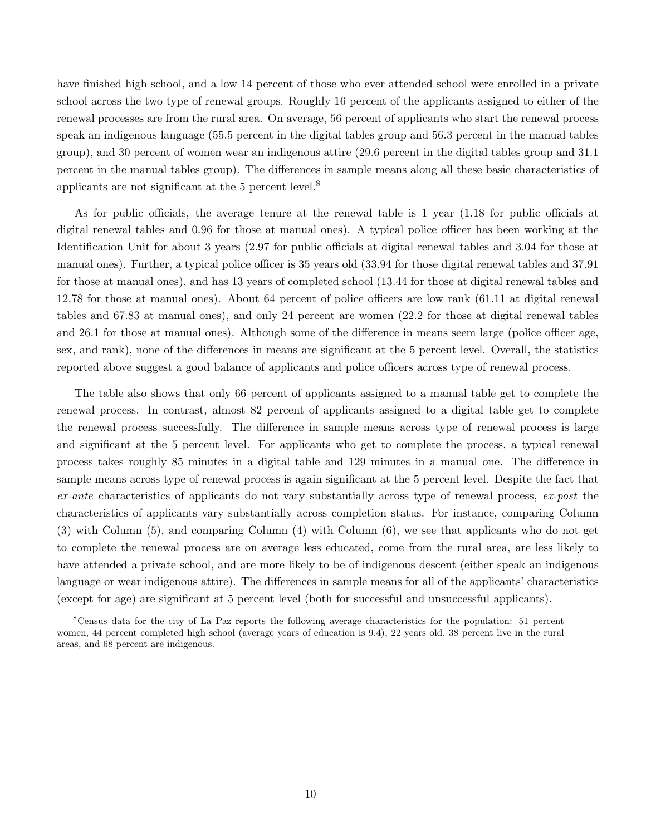have finished high school, and a low 14 percent of those who ever attended school were enrolled in a private school across the two type of renewal groups. Roughly 16 percent of the applicants assigned to either of the renewal processes are from the rural area. On average, 56 percent of applicants who start the renewal process speak an indigenous language (55.5 percent in the digital tables group and 56.3 percent in the manual tables group), and 30 percent of women wear an indigenous attire (29.6 percent in the digital tables group and 31.1 percent in the manual tables group). The differences in sample means along all these basic characteristics of applicants are not significant at the 5 percent level.<sup>8</sup>

As for public officials, the average tenure at the renewal table is 1 year (1.18 for public officials at digital renewal tables and 0.96 for those at manual ones). A typical police officer has been working at the Identification Unit for about 3 years (2.97 for public officials at digital renewal tables and 3.04 for those at manual ones). Further, a typical police officer is 35 years old (33.94 for those digital renewal tables and 37.91 for those at manual ones), and has 13 years of completed school (13.44 for those at digital renewal tables and 12.78 for those at manual ones). About 64 percent of police officers are low rank (61.11 at digital renewal tables and 67.83 at manual ones), and only 24 percent are women (22.2 for those at digital renewal tables and 26.1 for those at manual ones). Although some of the difference in means seem large (police officer age, sex, and rank), none of the differences in means are significant at the 5 percent level. Overall, the statistics reported above suggest a good balance of applicants and police officers across type of renewal process.

The table also shows that only 66 percent of applicants assigned to a manual table get to complete the renewal process. In contrast, almost 82 percent of applicants assigned to a digital table get to complete the renewal process successfully. The difference in sample means across type of renewal process is large and significant at the 5 percent level. For applicants who get to complete the process, a typical renewal process takes roughly 85 minutes in a digital table and 129 minutes in a manual one. The difference in sample means across type of renewal process is again significant at the 5 percent level. Despite the fact that ex-ante characteristics of applicants do not vary substantially across type of renewal process, ex-post the characteristics of applicants vary substantially across completion status. For instance, comparing Column (3) with Column (5), and comparing Column (4) with Column (6), we see that applicants who do not get to complete the renewal process are on average less educated, come from the rural area, are less likely to have attended a private school, and are more likely to be of indigenous descent (either speak an indigenous language or wear indigenous attire). The differences in sample means for all of the applicants' characteristics (except for age) are significant at 5 percent level (both for successful and unsuccessful applicants).

<sup>8</sup>Census data for the city of La Paz reports the following average characteristics for the population: 51 percent women, 44 percent completed high school (average years of education is 9.4), 22 years old, 38 percent live in the rural areas, and 68 percent are indigenous.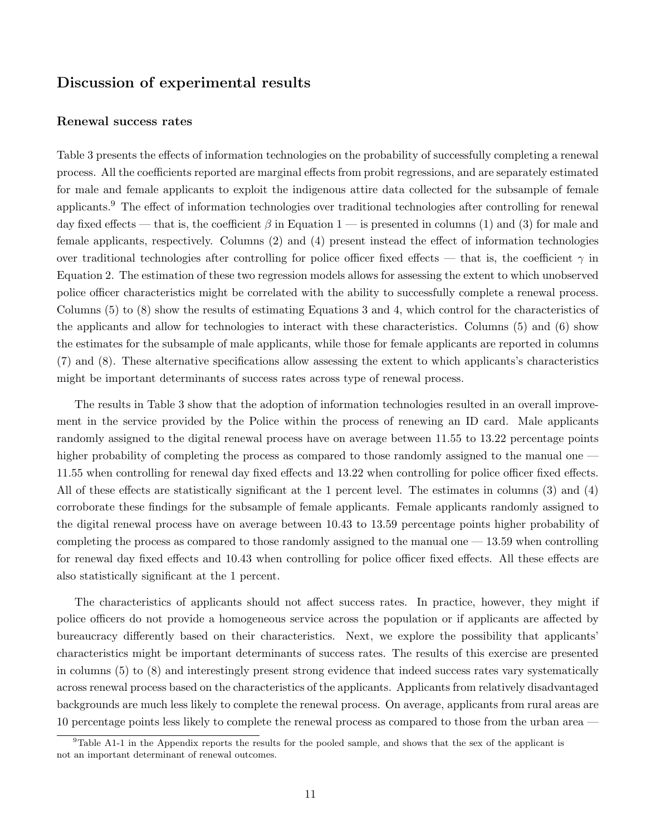### Discussion of experimental results

#### Renewal success rates

Table 3 presents the effects of information technologies on the probability of successfully completing a renewal process. All the coefficients reported are marginal effects from probit regressions, and are separately estimated for male and female applicants to exploit the indigenous attire data collected for the subsample of female applicants.<sup>9</sup> The effect of information technologies over traditional technologies after controlling for renewal day fixed effects — that is, the coefficient  $\beta$  in Equation 1 — is presented in columns (1) and (3) for male and female applicants, respectively. Columns (2) and (4) present instead the effect of information technologies over traditional technologies after controlling for police officer fixed effects — that is, the coefficient  $\gamma$  in Equation 2. The estimation of these two regression models allows for assessing the extent to which unobserved police officer characteristics might be correlated with the ability to successfully complete a renewal process. Columns (5) to (8) show the results of estimating Equations 3 and 4, which control for the characteristics of the applicants and allow for technologies to interact with these characteristics. Columns (5) and (6) show the estimates for the subsample of male applicants, while those for female applicants are reported in columns (7) and (8). These alternative specifications allow assessing the extent to which applicants's characteristics might be important determinants of success rates across type of renewal process.

The results in Table 3 show that the adoption of information technologies resulted in an overall improvement in the service provided by the Police within the process of renewing an ID card. Male applicants randomly assigned to the digital renewal process have on average between 11.55 to 13.22 percentage points higher probability of completing the process as compared to those randomly assigned to the manual one — 11.55 when controlling for renewal day fixed effects and 13.22 when controlling for police officer fixed effects. All of these effects are statistically significant at the 1 percent level. The estimates in columns (3) and (4) corroborate these findings for the subsample of female applicants. Female applicants randomly assigned to the digital renewal process have on average between 10.43 to 13.59 percentage points higher probability of completing the process as compared to those randomly assigned to the manual one  $-13.59$  when controlling for renewal day fixed effects and 10.43 when controlling for police officer fixed effects. All these effects are also statistically significant at the 1 percent.

The characteristics of applicants should not affect success rates. In practice, however, they might if police officers do not provide a homogeneous service across the population or if applicants are affected by bureaucracy differently based on their characteristics. Next, we explore the possibility that applicants' characteristics might be important determinants of success rates. The results of this exercise are presented in columns (5) to (8) and interestingly present strong evidence that indeed success rates vary systematically across renewal process based on the characteristics of the applicants. Applicants from relatively disadvantaged backgrounds are much less likely to complete the renewal process. On average, applicants from rural areas are 10 percentage points less likely to complete the renewal process as compared to those from the urban area —

 $9$ Table A1-1 in the Appendix reports the results for the pooled sample, and shows that the sex of the applicant is not an important determinant of renewal outcomes.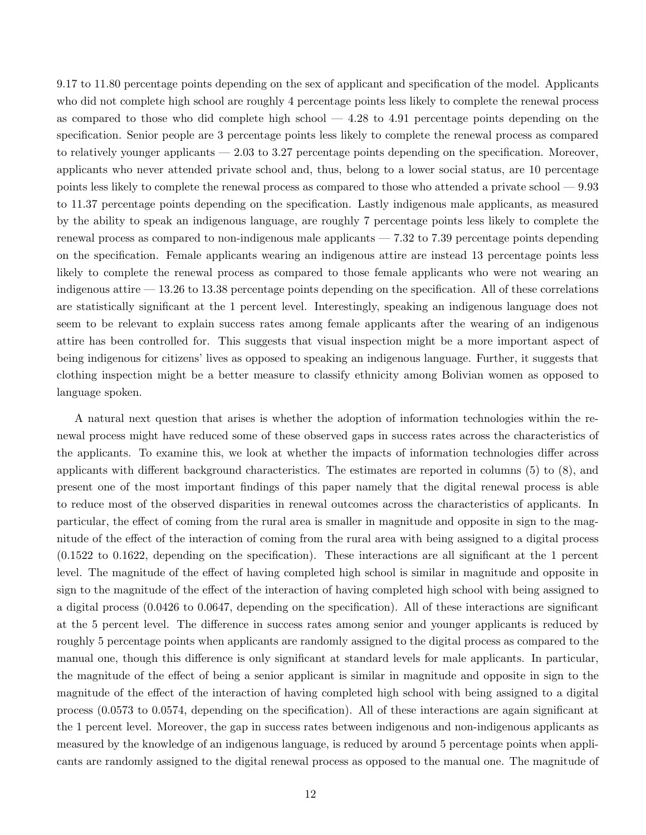9.17 to 11.80 percentage points depending on the sex of applicant and specification of the model. Applicants who did not complete high school are roughly 4 percentage points less likely to complete the renewal process as compared to those who did complete high school — 4.28 to 4.91 percentage points depending on the specification. Senior people are 3 percentage points less likely to complete the renewal process as compared to relatively younger applicants — 2.03 to 3.27 percentage points depending on the specification. Moreover, applicants who never attended private school and, thus, belong to a lower social status, are 10 percentage points less likely to complete the renewal process as compared to those who attended a private school — 9.93 to 11.37 percentage points depending on the specification. Lastly indigenous male applicants, as measured by the ability to speak an indigenous language, are roughly 7 percentage points less likely to complete the renewal process as compared to non-indigenous male applicants — 7.32 to 7.39 percentage points depending on the specification. Female applicants wearing an indigenous attire are instead 13 percentage points less likely to complete the renewal process as compared to those female applicants who were not wearing an indigenous attire — 13.26 to 13.38 percentage points depending on the specification. All of these correlations are statistically significant at the 1 percent level. Interestingly, speaking an indigenous language does not seem to be relevant to explain success rates among female applicants after the wearing of an indigenous attire has been controlled for. This suggests that visual inspection might be a more important aspect of being indigenous for citizens' lives as opposed to speaking an indigenous language. Further, it suggests that clothing inspection might be a better measure to classify ethnicity among Bolivian women as opposed to language spoken.

A natural next question that arises is whether the adoption of information technologies within the renewal process might have reduced some of these observed gaps in success rates across the characteristics of the applicants. To examine this, we look at whether the impacts of information technologies differ across applicants with different background characteristics. The estimates are reported in columns (5) to (8), and present one of the most important findings of this paper namely that the digital renewal process is able to reduce most of the observed disparities in renewal outcomes across the characteristics of applicants. In particular, the effect of coming from the rural area is smaller in magnitude and opposite in sign to the magnitude of the effect of the interaction of coming from the rural area with being assigned to a digital process (0.1522 to 0.1622, depending on the specification). These interactions are all significant at the 1 percent level. The magnitude of the effect of having completed high school is similar in magnitude and opposite in sign to the magnitude of the effect of the interaction of having completed high school with being assigned to a digital process (0.0426 to 0.0647, depending on the specification). All of these interactions are significant at the 5 percent level. The difference in success rates among senior and younger applicants is reduced by roughly 5 percentage points when applicants are randomly assigned to the digital process as compared to the manual one, though this difference is only significant at standard levels for male applicants. In particular, the magnitude of the effect of being a senior applicant is similar in magnitude and opposite in sign to the magnitude of the effect of the interaction of having completed high school with being assigned to a digital process (0.0573 to 0.0574, depending on the specification). All of these interactions are again significant at the 1 percent level. Moreover, the gap in success rates between indigenous and non-indigenous applicants as measured by the knowledge of an indigenous language, is reduced by around 5 percentage points when applicants are randomly assigned to the digital renewal process as opposed to the manual one. The magnitude of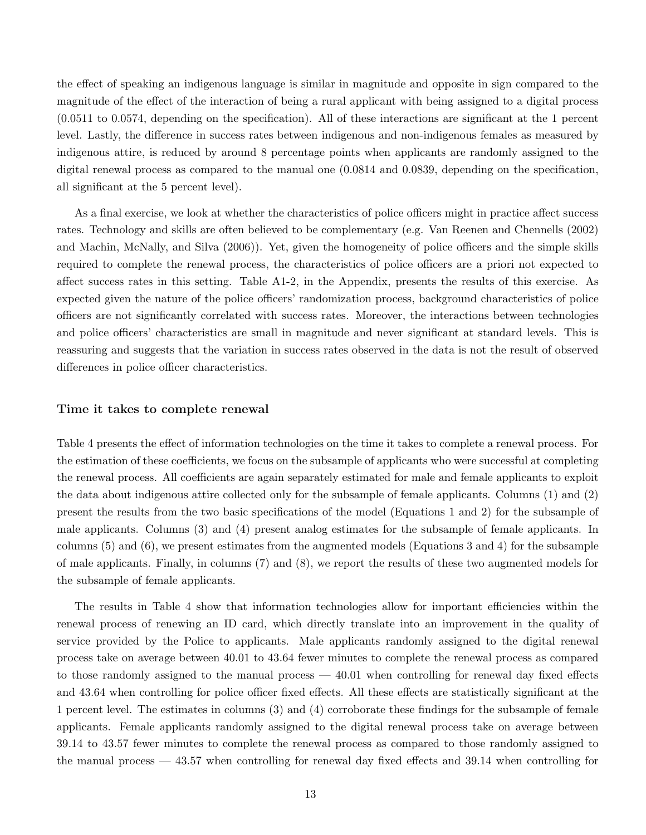the effect of speaking an indigenous language is similar in magnitude and opposite in sign compared to the magnitude of the effect of the interaction of being a rural applicant with being assigned to a digital process (0.0511 to 0.0574, depending on the specification). All of these interactions are significant at the 1 percent level. Lastly, the difference in success rates between indigenous and non-indigenous females as measured by indigenous attire, is reduced by around 8 percentage points when applicants are randomly assigned to the digital renewal process as compared to the manual one (0.0814 and 0.0839, depending on the specification, all significant at the 5 percent level).

As a final exercise, we look at whether the characteristics of police officers might in practice affect success rates. Technology and skills are often believed to be complementary (e.g. Van Reenen and Chennells (2002) and Machin, McNally, and Silva (2006)). Yet, given the homogeneity of police officers and the simple skills required to complete the renewal process, the characteristics of police officers are a priori not expected to affect success rates in this setting. Table A1-2, in the Appendix, presents the results of this exercise. As expected given the nature of the police officers' randomization process, background characteristics of police officers are not significantly correlated with success rates. Moreover, the interactions between technologies and police officers' characteristics are small in magnitude and never significant at standard levels. This is reassuring and suggests that the variation in success rates observed in the data is not the result of observed differences in police officer characteristics.

#### Time it takes to complete renewal

Table 4 presents the effect of information technologies on the time it takes to complete a renewal process. For the estimation of these coefficients, we focus on the subsample of applicants who were successful at completing the renewal process. All coefficients are again separately estimated for male and female applicants to exploit the data about indigenous attire collected only for the subsample of female applicants. Columns (1) and (2) present the results from the two basic specifications of the model (Equations 1 and 2) for the subsample of male applicants. Columns (3) and (4) present analog estimates for the subsample of female applicants. In columns (5) and (6), we present estimates from the augmented models (Equations 3 and 4) for the subsample of male applicants. Finally, in columns (7) and (8), we report the results of these two augmented models for the subsample of female applicants.

The results in Table 4 show that information technologies allow for important efficiencies within the renewal process of renewing an ID card, which directly translate into an improvement in the quality of service provided by the Police to applicants. Male applicants randomly assigned to the digital renewal process take on average between 40.01 to 43.64 fewer minutes to complete the renewal process as compared to those randomly assigned to the manual process — 40.01 when controlling for renewal day fixed effects and 43.64 when controlling for police officer fixed effects. All these effects are statistically significant at the 1 percent level. The estimates in columns (3) and (4) corroborate these findings for the subsample of female applicants. Female applicants randomly assigned to the digital renewal process take on average between 39.14 to 43.57 fewer minutes to complete the renewal process as compared to those randomly assigned to the manual process — 43.57 when controlling for renewal day fixed effects and 39.14 when controlling for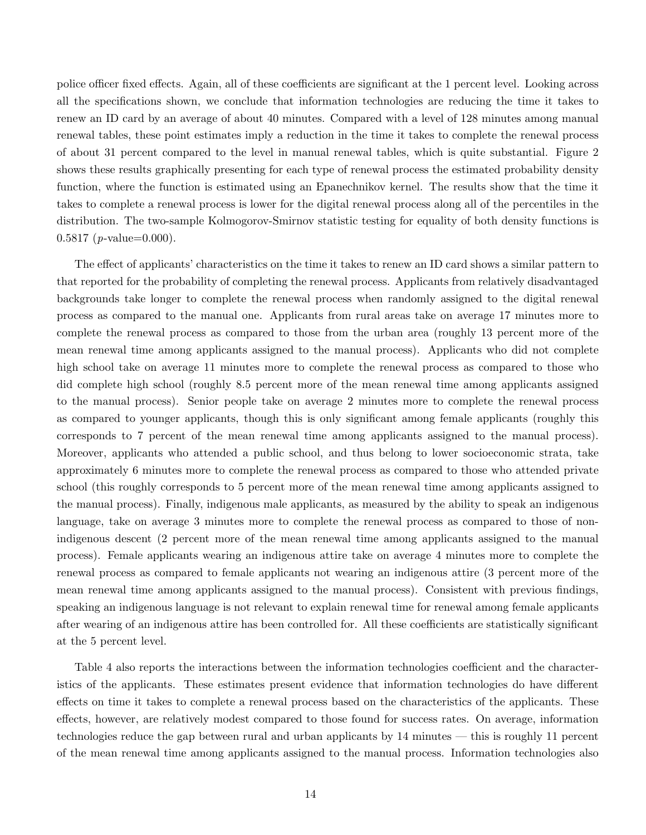police officer fixed effects. Again, all of these coefficients are significant at the 1 percent level. Looking across all the specifications shown, we conclude that information technologies are reducing the time it takes to renew an ID card by an average of about 40 minutes. Compared with a level of 128 minutes among manual renewal tables, these point estimates imply a reduction in the time it takes to complete the renewal process of about 31 percent compared to the level in manual renewal tables, which is quite substantial. Figure 2 shows these results graphically presenting for each type of renewal process the estimated probability density function, where the function is estimated using an Epanechnikov kernel. The results show that the time it takes to complete a renewal process is lower for the digital renewal process along all of the percentiles in the distribution. The two-sample Kolmogorov-Smirnov statistic testing for equality of both density functions is  $0.5817$  (*p*-value=0.000).

The effect of applicants' characteristics on the time it takes to renew an ID card shows a similar pattern to that reported for the probability of completing the renewal process. Applicants from relatively disadvantaged backgrounds take longer to complete the renewal process when randomly assigned to the digital renewal process as compared to the manual one. Applicants from rural areas take on average 17 minutes more to complete the renewal process as compared to those from the urban area (roughly 13 percent more of the mean renewal time among applicants assigned to the manual process). Applicants who did not complete high school take on average 11 minutes more to complete the renewal process as compared to those who did complete high school (roughly 8.5 percent more of the mean renewal time among applicants assigned to the manual process). Senior people take on average 2 minutes more to complete the renewal process as compared to younger applicants, though this is only significant among female applicants (roughly this corresponds to 7 percent of the mean renewal time among applicants assigned to the manual process). Moreover, applicants who attended a public school, and thus belong to lower socioeconomic strata, take approximately 6 minutes more to complete the renewal process as compared to those who attended private school (this roughly corresponds to 5 percent more of the mean renewal time among applicants assigned to the manual process). Finally, indigenous male applicants, as measured by the ability to speak an indigenous language, take on average 3 minutes more to complete the renewal process as compared to those of nonindigenous descent (2 percent more of the mean renewal time among applicants assigned to the manual process). Female applicants wearing an indigenous attire take on average 4 minutes more to complete the renewal process as compared to female applicants not wearing an indigenous attire (3 percent more of the mean renewal time among applicants assigned to the manual process). Consistent with previous findings, speaking an indigenous language is not relevant to explain renewal time for renewal among female applicants after wearing of an indigenous attire has been controlled for. All these coefficients are statistically significant at the 5 percent level.

Table 4 also reports the interactions between the information technologies coefficient and the characteristics of the applicants. These estimates present evidence that information technologies do have different effects on time it takes to complete a renewal process based on the characteristics of the applicants. These effects, however, are relatively modest compared to those found for success rates. On average, information technologies reduce the gap between rural and urban applicants by 14 minutes — this is roughly 11 percent of the mean renewal time among applicants assigned to the manual process. Information technologies also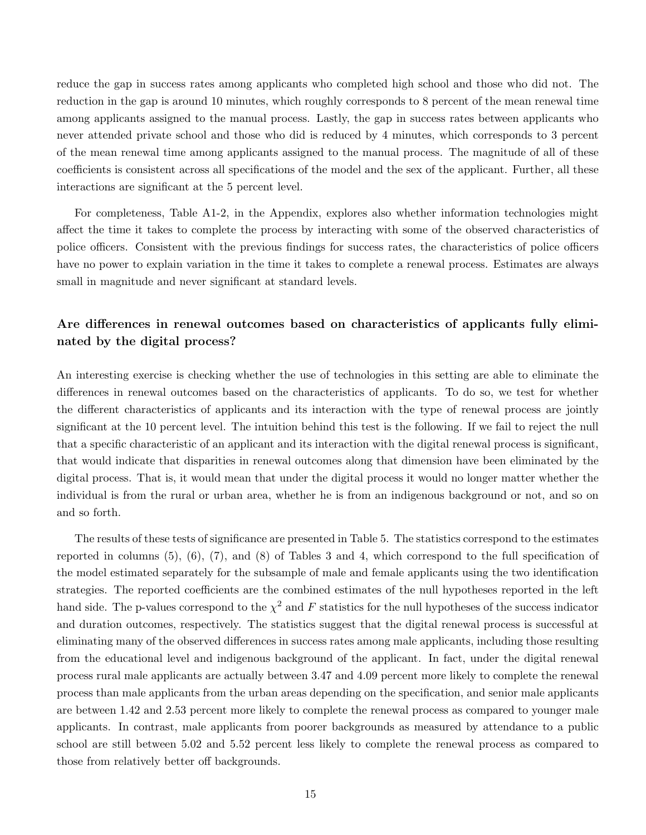reduce the gap in success rates among applicants who completed high school and those who did not. The reduction in the gap is around 10 minutes, which roughly corresponds to 8 percent of the mean renewal time among applicants assigned to the manual process. Lastly, the gap in success rates between applicants who never attended private school and those who did is reduced by 4 minutes, which corresponds to 3 percent of the mean renewal time among applicants assigned to the manual process. The magnitude of all of these coefficients is consistent across all specifications of the model and the sex of the applicant. Further, all these interactions are significant at the 5 percent level.

For completeness, Table A1-2, in the Appendix, explores also whether information technologies might affect the time it takes to complete the process by interacting with some of the observed characteristics of police officers. Consistent with the previous findings for success rates, the characteristics of police officers have no power to explain variation in the time it takes to complete a renewal process. Estimates are always small in magnitude and never significant at standard levels.

### Are differences in renewal outcomes based on characteristics of applicants fully eliminated by the digital process?

An interesting exercise is checking whether the use of technologies in this setting are able to eliminate the differences in renewal outcomes based on the characteristics of applicants. To do so, we test for whether the different characteristics of applicants and its interaction with the type of renewal process are jointly significant at the 10 percent level. The intuition behind this test is the following. If we fail to reject the null that a specific characteristic of an applicant and its interaction with the digital renewal process is significant, that would indicate that disparities in renewal outcomes along that dimension have been eliminated by the digital process. That is, it would mean that under the digital process it would no longer matter whether the individual is from the rural or urban area, whether he is from an indigenous background or not, and so on and so forth.

The results of these tests of significance are presented in Table 5. The statistics correspond to the estimates reported in columns (5), (6), (7), and (8) of Tables 3 and 4, which correspond to the full specification of the model estimated separately for the subsample of male and female applicants using the two identification strategies. The reported coefficients are the combined estimates of the null hypotheses reported in the left hand side. The p-values correspond to the  $\chi^2$  and F statistics for the null hypotheses of the success indicator and duration outcomes, respectively. The statistics suggest that the digital renewal process is successful at eliminating many of the observed differences in success rates among male applicants, including those resulting from the educational level and indigenous background of the applicant. In fact, under the digital renewal process rural male applicants are actually between 3.47 and 4.09 percent more likely to complete the renewal process than male applicants from the urban areas depending on the specification, and senior male applicants are between 1.42 and 2.53 percent more likely to complete the renewal process as compared to younger male applicants. In contrast, male applicants from poorer backgrounds as measured by attendance to a public school are still between 5.02 and 5.52 percent less likely to complete the renewal process as compared to those from relatively better off backgrounds.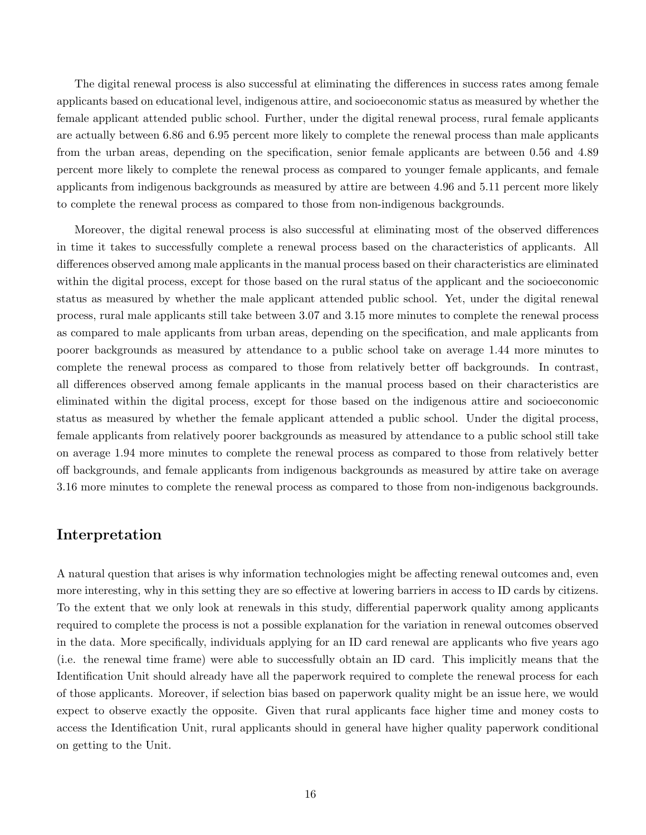The digital renewal process is also successful at eliminating the differences in success rates among female applicants based on educational level, indigenous attire, and socioeconomic status as measured by whether the female applicant attended public school. Further, under the digital renewal process, rural female applicants are actually between 6.86 and 6.95 percent more likely to complete the renewal process than male applicants from the urban areas, depending on the specification, senior female applicants are between 0.56 and 4.89 percent more likely to complete the renewal process as compared to younger female applicants, and female applicants from indigenous backgrounds as measured by attire are between 4.96 and 5.11 percent more likely to complete the renewal process as compared to those from non-indigenous backgrounds.

Moreover, the digital renewal process is also successful at eliminating most of the observed differences in time it takes to successfully complete a renewal process based on the characteristics of applicants. All differences observed among male applicants in the manual process based on their characteristics are eliminated within the digital process, except for those based on the rural status of the applicant and the socioeconomic status as measured by whether the male applicant attended public school. Yet, under the digital renewal process, rural male applicants still take between 3.07 and 3.15 more minutes to complete the renewal process as compared to male applicants from urban areas, depending on the specification, and male applicants from poorer backgrounds as measured by attendance to a public school take on average 1.44 more minutes to complete the renewal process as compared to those from relatively better off backgrounds. In contrast, all differences observed among female applicants in the manual process based on their characteristics are eliminated within the digital process, except for those based on the indigenous attire and socioeconomic status as measured by whether the female applicant attended a public school. Under the digital process, female applicants from relatively poorer backgrounds as measured by attendance to a public school still take on average 1.94 more minutes to complete the renewal process as compared to those from relatively better off backgrounds, and female applicants from indigenous backgrounds as measured by attire take on average 3.16 more minutes to complete the renewal process as compared to those from non-indigenous backgrounds.

### Interpretation

A natural question that arises is why information technologies might be affecting renewal outcomes and, even more interesting, why in this setting they are so effective at lowering barriers in access to ID cards by citizens. To the extent that we only look at renewals in this study, differential paperwork quality among applicants required to complete the process is not a possible explanation for the variation in renewal outcomes observed in the data. More specifically, individuals applying for an ID card renewal are applicants who five years ago (i.e. the renewal time frame) were able to successfully obtain an ID card. This implicitly means that the Identification Unit should already have all the paperwork required to complete the renewal process for each of those applicants. Moreover, if selection bias based on paperwork quality might be an issue here, we would expect to observe exactly the opposite. Given that rural applicants face higher time and money costs to access the Identification Unit, rural applicants should in general have higher quality paperwork conditional on getting to the Unit.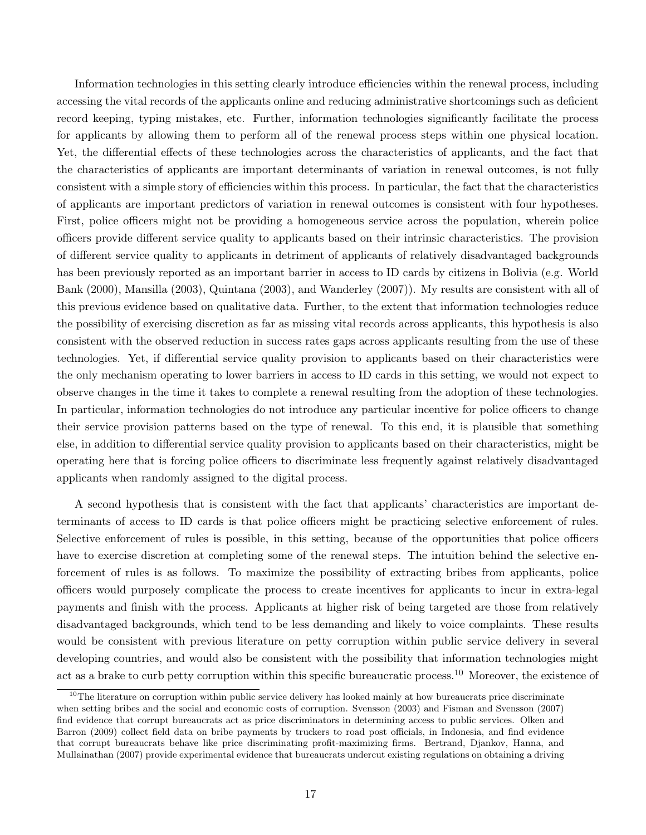Information technologies in this setting clearly introduce efficiencies within the renewal process, including accessing the vital records of the applicants online and reducing administrative shortcomings such as deficient record keeping, typing mistakes, etc. Further, information technologies significantly facilitate the process for applicants by allowing them to perform all of the renewal process steps within one physical location. Yet, the differential effects of these technologies across the characteristics of applicants, and the fact that the characteristics of applicants are important determinants of variation in renewal outcomes, is not fully consistent with a simple story of efficiencies within this process. In particular, the fact that the characteristics of applicants are important predictors of variation in renewal outcomes is consistent with four hypotheses. First, police officers might not be providing a homogeneous service across the population, wherein police officers provide different service quality to applicants based on their intrinsic characteristics. The provision of different service quality to applicants in detriment of applicants of relatively disadvantaged backgrounds has been previously reported as an important barrier in access to ID cards by citizens in Bolivia (e.g. World Bank (2000), Mansilla (2003), Quintana (2003), and Wanderley (2007)). My results are consistent with all of this previous evidence based on qualitative data. Further, to the extent that information technologies reduce the possibility of exercising discretion as far as missing vital records across applicants, this hypothesis is also consistent with the observed reduction in success rates gaps across applicants resulting from the use of these technologies. Yet, if differential service quality provision to applicants based on their characteristics were the only mechanism operating to lower barriers in access to ID cards in this setting, we would not expect to observe changes in the time it takes to complete a renewal resulting from the adoption of these technologies. In particular, information technologies do not introduce any particular incentive for police officers to change their service provision patterns based on the type of renewal. To this end, it is plausible that something else, in addition to differential service quality provision to applicants based on their characteristics, might be operating here that is forcing police officers to discriminate less frequently against relatively disadvantaged applicants when randomly assigned to the digital process.

A second hypothesis that is consistent with the fact that applicants' characteristics are important determinants of access to ID cards is that police officers might be practicing selective enforcement of rules. Selective enforcement of rules is possible, in this setting, because of the opportunities that police officers have to exercise discretion at completing some of the renewal steps. The intuition behind the selective enforcement of rules is as follows. To maximize the possibility of extracting bribes from applicants, police officers would purposely complicate the process to create incentives for applicants to incur in extra-legal payments and finish with the process. Applicants at higher risk of being targeted are those from relatively disadvantaged backgrounds, which tend to be less demanding and likely to voice complaints. These results would be consistent with previous literature on petty corruption within public service delivery in several developing countries, and would also be consistent with the possibility that information technologies might act as a brake to curb petty corruption within this specific bureaucratic process.<sup>10</sup> Moreover, the existence of

 $10$ The literature on corruption within public service delivery has looked mainly at how bureaucrats price discriminate when setting bribes and the social and economic costs of corruption. Svensson (2003) and Fisman and Svensson (2007) find evidence that corrupt bureaucrats act as price discriminators in determining access to public services. Olken and Barron (2009) collect field data on bribe payments by truckers to road post officials, in Indonesia, and find evidence that corrupt bureaucrats behave like price discriminating profit-maximizing firms. Bertrand, Djankov, Hanna, and Mullainathan (2007) provide experimental evidence that bureaucrats undercut existing regulations on obtaining a driving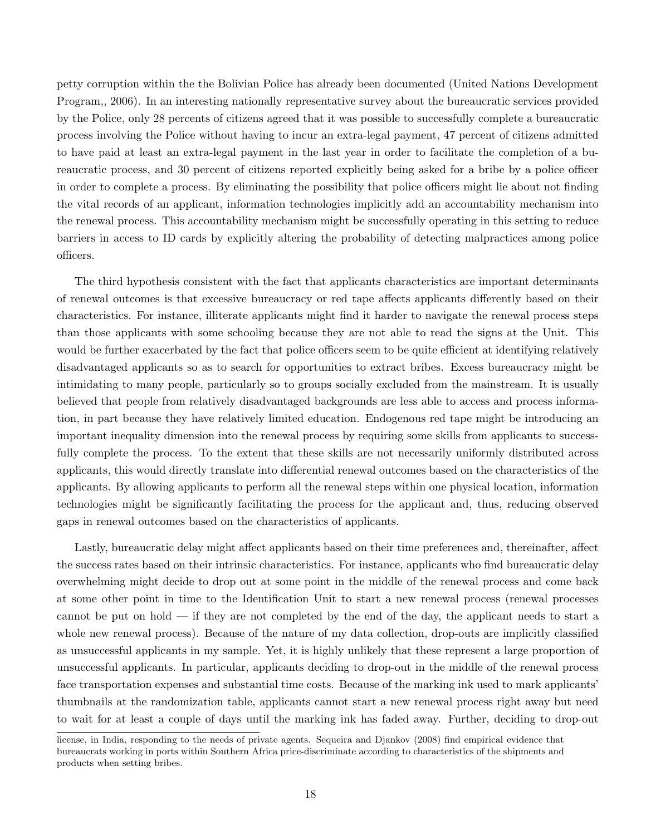petty corruption within the the Bolivian Police has already been documented (United Nations Development Program,, 2006). In an interesting nationally representative survey about the bureaucratic services provided by the Police, only 28 percents of citizens agreed that it was possible to successfully complete a bureaucratic process involving the Police without having to incur an extra-legal payment, 47 percent of citizens admitted to have paid at least an extra-legal payment in the last year in order to facilitate the completion of a bureaucratic process, and 30 percent of citizens reported explicitly being asked for a bribe by a police officer in order to complete a process. By eliminating the possibility that police officers might lie about not finding the vital records of an applicant, information technologies implicitly add an accountability mechanism into the renewal process. This accountability mechanism might be successfully operating in this setting to reduce barriers in access to ID cards by explicitly altering the probability of detecting malpractices among police officers.

The third hypothesis consistent with the fact that applicants characteristics are important determinants of renewal outcomes is that excessive bureaucracy or red tape affects applicants differently based on their characteristics. For instance, illiterate applicants might find it harder to navigate the renewal process steps than those applicants with some schooling because they are not able to read the signs at the Unit. This would be further exacerbated by the fact that police officers seem to be quite efficient at identifying relatively disadvantaged applicants so as to search for opportunities to extract bribes. Excess bureaucracy might be intimidating to many people, particularly so to groups socially excluded from the mainstream. It is usually believed that people from relatively disadvantaged backgrounds are less able to access and process information, in part because they have relatively limited education. Endogenous red tape might be introducing an important inequality dimension into the renewal process by requiring some skills from applicants to successfully complete the process. To the extent that these skills are not necessarily uniformly distributed across applicants, this would directly translate into differential renewal outcomes based on the characteristics of the applicants. By allowing applicants to perform all the renewal steps within one physical location, information technologies might be significantly facilitating the process for the applicant and, thus, reducing observed gaps in renewal outcomes based on the characteristics of applicants.

Lastly, bureaucratic delay might affect applicants based on their time preferences and, thereinafter, affect the success rates based on their intrinsic characteristics. For instance, applicants who find bureaucratic delay overwhelming might decide to drop out at some point in the middle of the renewal process and come back at some other point in time to the Identification Unit to start a new renewal process (renewal processes cannot be put on hold — if they are not completed by the end of the day, the applicant needs to start a whole new renewal process). Because of the nature of my data collection, drop-outs are implicitly classified as unsuccessful applicants in my sample. Yet, it is highly unlikely that these represent a large proportion of unsuccessful applicants. In particular, applicants deciding to drop-out in the middle of the renewal process face transportation expenses and substantial time costs. Because of the marking ink used to mark applicants' thumbnails at the randomization table, applicants cannot start a new renewal process right away but need to wait for at least a couple of days until the marking ink has faded away. Further, deciding to drop-out

license, in India, responding to the needs of private agents. Sequeira and Djankov (2008) find empirical evidence that bureaucrats working in ports within Southern Africa price-discriminate according to characteristics of the shipments and products when setting bribes.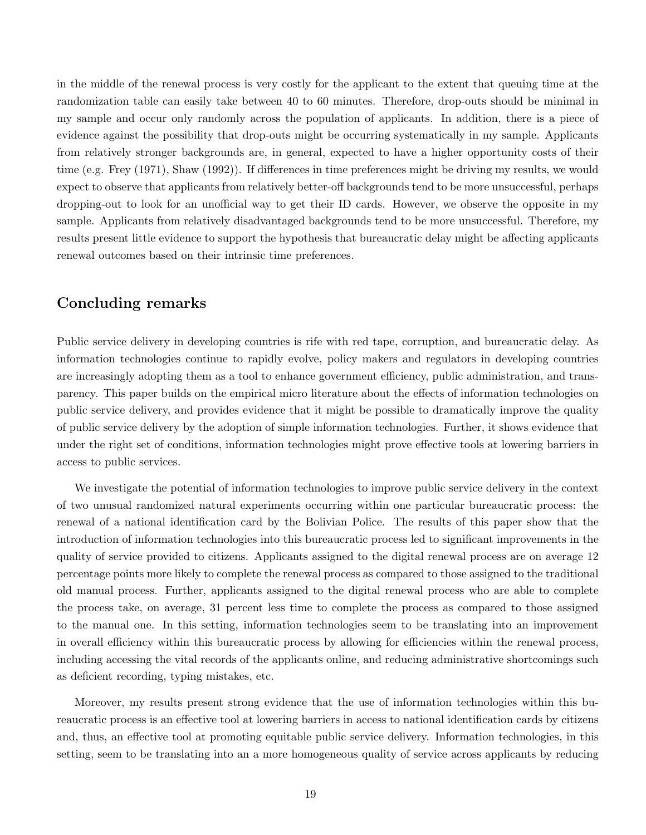in the middle of the renewal process is very costly for the applicant to the extent that queuing time at the randomization table can easily take between 40 to 60 minutes. Therefore, drop-outs should be minimal in my sample and occur only randomly across the population of applicants. In addition, there is a piece of evidence against the possibility that drop-outs might be occurring systematically in my sample. Applicants from relatively stronger backgrounds are, in general, expected to have a higher opportunity costs of their time (e.g. Frey (1971), Shaw (1992)). If differences in time preferences might be driving my results, we would expect to observe that applicants from relatively better-off backgrounds tend to be more unsuccessful, perhaps dropping-out to look for an unofficial way to get their ID cards. However, we observe the opposite in my sample. Applicants from relatively disadvantaged backgrounds tend to be more unsuccessful. Therefore, my results present little evidence to support the hypothesis that bureaucratic delay might be affecting applicants renewal outcomes based on their intrinsic time preferences.

### Concluding remarks

Public service delivery in developing countries is rife with red tape, corruption, and bureaucratic delay. As information technologies continue to rapidly evolve, policy makers and regulators in developing countries are increasingly adopting them as a tool to enhance government efficiency, public administration, and transparency. This paper builds on the empirical micro literature about the effects of information technologies on public service delivery, and provides evidence that it might be possible to dramatically improve the quality of public service delivery by the adoption of simple information technologies. Further, it shows evidence that under the right set of conditions, information technologies might prove effective tools at lowering barriers in access to public services.

We investigate the potential of information technologies to improve public service delivery in the context of two unusual randomized natural experiments occurring within one particular bureaucratic process: the renewal of a national identification card by the Bolivian Police. The results of this paper show that the introduction of information technologies into this bureaucratic process led to significant improvements in the quality of service provided to citizens. Applicants assigned to the digital renewal process are on average 12 percentage points more likely to complete the renewal process as compared to those assigned to the traditional old manual process. Further, applicants assigned to the digital renewal process who are able to complete the process take, on average, 31 percent less time to complete the process as compared to those assigned to the manual one. In this setting, information technologies seem to be translating into an improvement in overall efficiency within this bureaucratic process by allowing for efficiencies within the renewal process, including accessing the vital records of the applicants online, and reducing administrative shortcomings such as deficient recording, typing mistakes, etc.

Moreover, my results present strong evidence that the use of information technologies within this bureaucratic process is an effective tool at lowering barriers in access to national identification cards by citizens and, thus, an effective tool at promoting equitable public service delivery. Information technologies, in this setting, seem to be translating into an a more homogeneous quality of service across applicants by reducing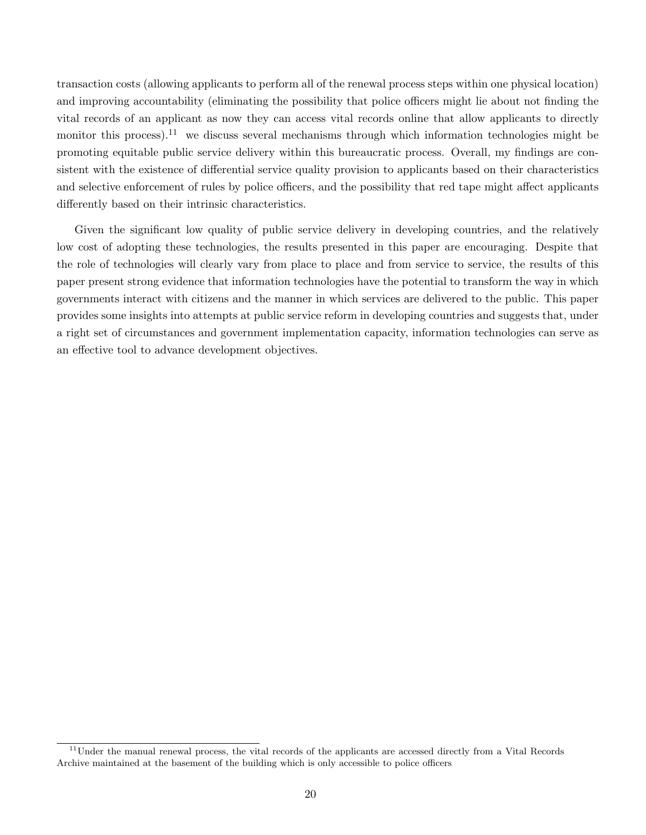transaction costs (allowing applicants to perform all of the renewal process steps within one physical location) and improving accountability (eliminating the possibility that police officers might lie about not finding the vital records of an applicant as now they can access vital records online that allow applicants to directly monitor this process).<sup>11</sup> we discuss several mechanisms through which information technologies might be promoting equitable public service delivery within this bureaucratic process. Overall, my findings are consistent with the existence of differential service quality provision to applicants based on their characteristics and selective enforcement of rules by police officers, and the possibility that red tape might affect applicants differently based on their intrinsic characteristics.

Given the significant low quality of public service delivery in developing countries, and the relatively low cost of adopting these technologies, the results presented in this paper are encouraging. Despite that the role of technologies will clearly vary from place to place and from service to service, the results of this paper present strong evidence that information technologies have the potential to transform the way in which governments interact with citizens and the manner in which services are delivered to the public. This paper provides some insights into attempts at public service reform in developing countries and suggests that, under a right set of circumstances and government implementation capacity, information technologies can serve as an effective tool to advance development objectives.

 $11$ Under the manual renewal process, the vital records of the applicants are accessed directly from a Vital Records Archive maintained at the basement of the building which is only accessible to police officers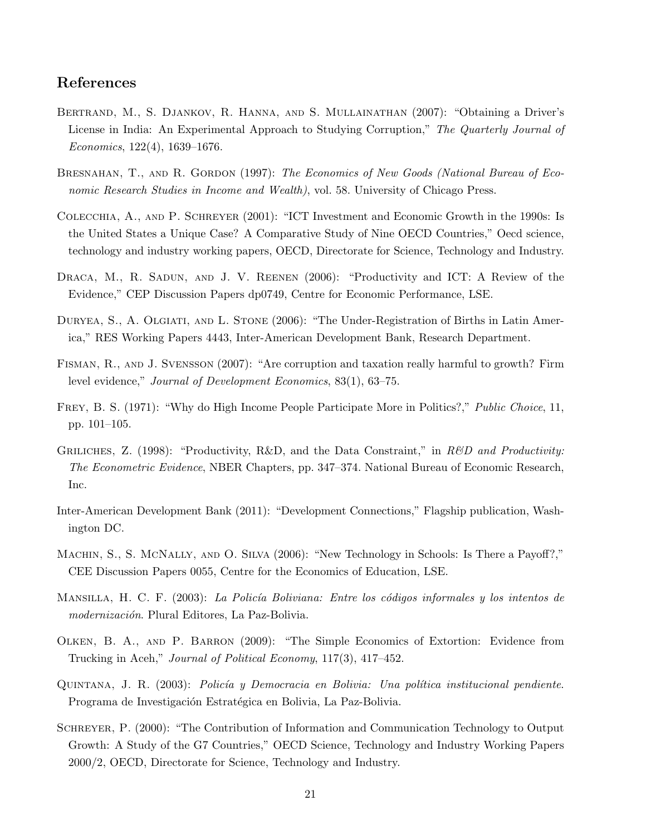### References

- Bertrand, M., S. Djankov, R. Hanna, and S. Mullainathan (2007): "Obtaining a Driver's License in India: An Experimental Approach to Studying Corruption," The Quarterly Journal of Economics, 122(4), 1639–1676.
- BRESNAHAN, T., AND R. GORDON (1997): The Economics of New Goods (National Bureau of Economic Research Studies in Income and Wealth), vol. 58. University of Chicago Press.
- Colecchia, A., and P. Schreyer (2001): "ICT Investment and Economic Growth in the 1990s: Is the United States a Unique Case? A Comparative Study of Nine OECD Countries," Oecd science, technology and industry working papers, OECD, Directorate for Science, Technology and Industry.
- DRACA, M., R. SADUN, AND J. V. REENEN (2006): "Productivity and ICT: A Review of the Evidence," CEP Discussion Papers dp0749, Centre for Economic Performance, LSE.
- DURYEA, S., A. OLGIATI, AND L. STONE (2006): "The Under-Registration of Births in Latin America," RES Working Papers 4443, Inter-American Development Bank, Research Department.
- Fisman, R., and J. Svensson (2007): "Are corruption and taxation really harmful to growth? Firm level evidence," Journal of Development Economics, 83(1), 63–75.
- Frey, B. S. (1971): "Why do High Income People Participate More in Politics?," Public Choice, 11, pp. 101–105.
- GRILICHES, Z. (1998): "Productivity, R&D, and the Data Constraint," in R&D and Productivity: The Econometric Evidence, NBER Chapters, pp. 347–374. National Bureau of Economic Research, Inc.
- Inter-American Development Bank (2011): "Development Connections," Flagship publication, Washington DC.
- MACHIN, S., S. MCNALLY, AND O. SILVA (2006): "New Technology in Schools: Is There a Payoff?," CEE Discussion Papers 0055, Centre for the Economics of Education, LSE.
- MANSILLA, H. C. F. (2003): La Policía Boliviana: Entre los códigos informales y los intentos de modernización. Plural Editores, La Paz-Bolivia.
- Olken, B. A., and P. Barron (2009): "The Simple Economics of Extortion: Evidence from Trucking in Aceh," Journal of Political Economy, 117(3), 417–452.
- QUINTANA, J. R. (2003): Policía y Democracia en Bolivia: Una política institucional pendiente. Programa de Investigación Estratégica en Bolivia, La Paz-Bolivia.
- SCHREYER, P. (2000): "The Contribution of Information and Communication Technology to Output Growth: A Study of the G7 Countries," OECD Science, Technology and Industry Working Papers 2000/2, OECD, Directorate for Science, Technology and Industry.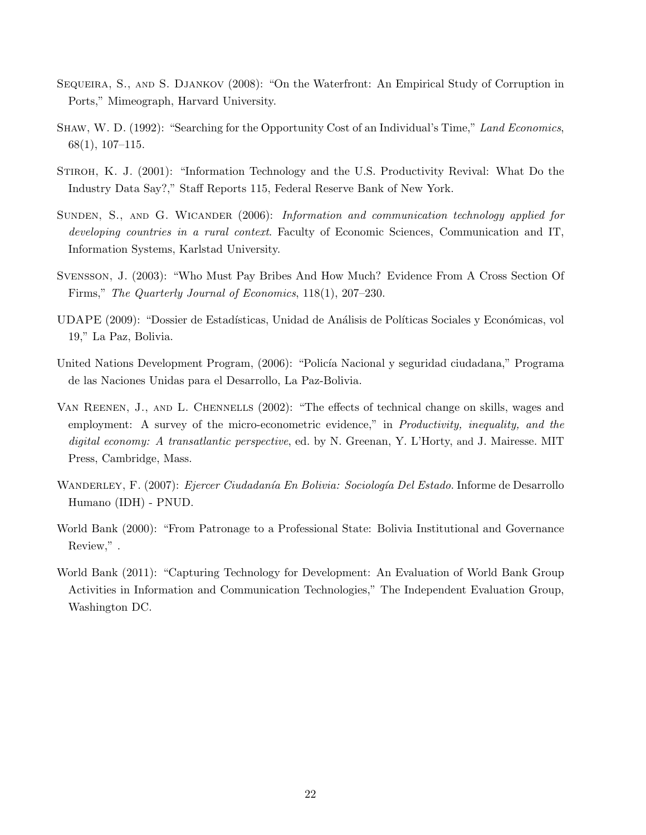- Sequeira, S., and S. Djankov (2008): "On the Waterfront: An Empirical Study of Corruption in Ports," Mimeograph, Harvard University.
- Shaw, W. D. (1992): "Searching for the Opportunity Cost of an Individual's Time," Land Economics, 68(1), 107–115.
- STIROH, K. J. (2001): "Information Technology and the U.S. Productivity Revival: What Do the Industry Data Say?," Staff Reports 115, Federal Reserve Bank of New York.
- SUNDEN, S., AND G. WICANDER (2006): Information and communication technology applied for developing countries in a rural context. Faculty of Economic Sciences, Communication and IT, Information Systems, Karlstad University.
- Svensson, J. (2003): "Who Must Pay Bribes And How Much? Evidence From A Cross Section Of Firms," The Quarterly Journal of Economics, 118(1), 207–230.
- UDAPE (2009): "Dossier de Estadísticas, Unidad de Análisis de Políticas Sociales y Económicas, vol 19," La Paz, Bolivia.
- United Nations Development Program, (2006): "Policía Nacional y seguridad ciudadana," Programa de las Naciones Unidas para el Desarrollo, La Paz-Bolivia.
- Van Reenen, J., and L. Chennells (2002): "The effects of technical change on skills, wages and employment: A survey of the micro-econometric evidence," in *Productivity, inequality, and the* digital economy: A transatlantic perspective, ed. by N. Greenan, Y. L'Horty, and J. Mairesse. MIT Press, Cambridge, Mass.
- WANDERLEY, F. (2007): Ejercer Ciudadanía En Bolivia: Sociología Del Estado. Informe de Desarrollo Humano (IDH) - PNUD.
- World Bank (2000): "From Patronage to a Professional State: Bolivia Institutional and Governance Review," .
- World Bank (2011): "Capturing Technology for Development: An Evaluation of World Bank Group Activities in Information and Communication Technologies," The Independent Evaluation Group, Washington DC.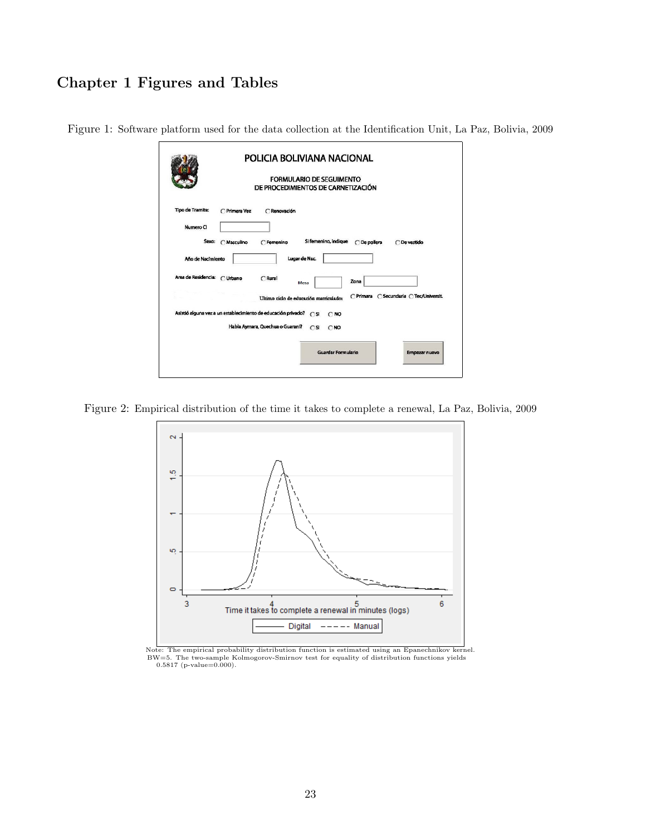# Chapter 1 Figures and Tables

|                                                                   |               |                                  | FORMULARIO DE SEGUIMENTO<br>DE PROCEDIMIENTOS DE CARNETIZACIÓN |                      |             |                                         |
|-------------------------------------------------------------------|---------------|----------------------------------|----------------------------------------------------------------|----------------------|-------------|-----------------------------------------|
| <b>Tipo de Tramite:</b>                                           | C Primera Vez | C Renovación                     |                                                                |                      |             |                                         |
| Numero CI                                                         |               |                                  |                                                                |                      |             |                                         |
| Sexo:                                                             | C Masculino   | C Femenino                       |                                                                | Si femenino, indique | ○De pollera | C De vestido                            |
| Año de Nacimiento                                                 |               |                                  | Lugar de Nac.                                                  |                      |             |                                         |
| Area de Residencia: C Urbano                                      |               | CRural                           | <b>Mesa</b>                                                    |                      | Zona        |                                         |
|                                                                   |               |                                  | Ultimo ciclo de educación matriculado:                         |                      |             | C Primara C Secundaria C Tec/Universit. |
| Asistió alguna vez a un establecimiento de educación privado? (SI |               |                                  |                                                                | C <sub>NO</sub>      |             |                                         |
|                                                                   |               | Habla Aymara, Quechua o Guarani? | $\cap$ SI                                                      | $\cap$ NO            |             |                                         |
|                                                                   |               |                                  |                                                                |                      |             |                                         |

Figure 1: Software platform used for the data collection at the Identification Unit, La Paz, Bolivia, 2009

Figure 2: Empirical distribution of the time it takes to complete a renewal, La Paz, Bolivia, 2009



Note: The empirical probability distribution function is estimated using an Epanechnikov kernel. BW=5. The two-sample Kolmogorov-Smirnov test for equality of distribution functions yields 0.5817 (p-value=0.000).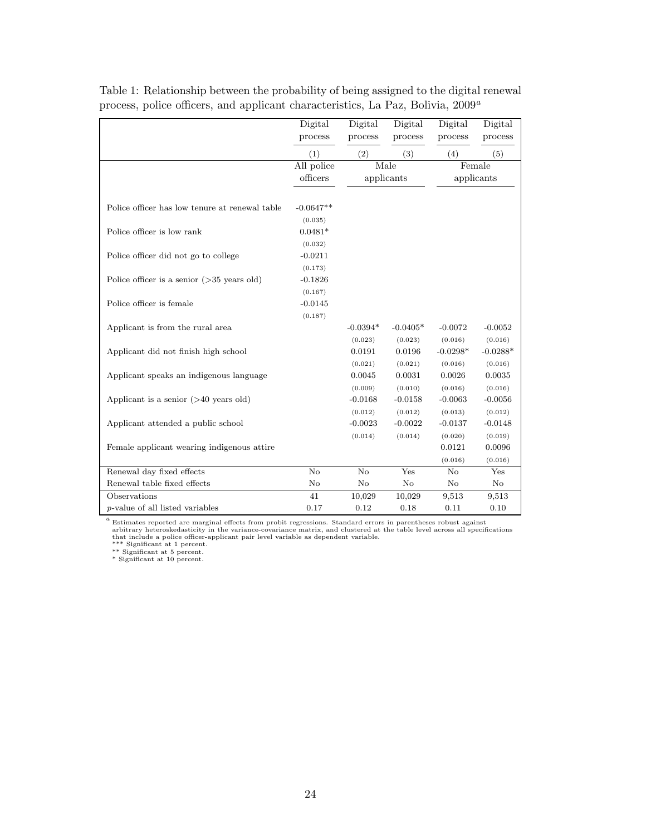|                                                | Digital<br>process   | Digital<br>process | Digital<br>process | Digital<br>process | Digital<br>process |
|------------------------------------------------|----------------------|--------------------|--------------------|--------------------|--------------------|
|                                                | (1)                  | (2)                | (3)                | (4)                | (5)                |
|                                                | All police           |                    | Male               |                    | Female             |
|                                                | officers             |                    | applicants         |                    | applicants         |
|                                                |                      |                    |                    |                    |                    |
| Police officer has low tenure at renewal table | $-0.0647**$          |                    |                    |                    |                    |
| Police officer is low rank                     | (0.035)<br>$0.0481*$ |                    |                    |                    |                    |
|                                                | (0.032)              |                    |                    |                    |                    |
| Police officer did not go to college           | $-0.0211$            |                    |                    |                    |                    |
|                                                | (0.173)              |                    |                    |                    |                    |
| Police officer is a senior $($ >35 years old)  | $-0.1826$            |                    |                    |                    |                    |
|                                                | (0.167)              |                    |                    |                    |                    |
| Police officer is female                       | $-0.0145$            |                    |                    |                    |                    |
|                                                | (0.187)              |                    |                    |                    |                    |
| Applicant is from the rural area               |                      | $-0.0394*$         | $-0.0405*$         | $-0.0072$          | $-0.0052$          |
|                                                |                      | (0.023)            | (0.023)            | (0.016)            | (0.016)            |
| Applicant did not finish high school           |                      | 0.0191             | 0.0196             | $-0.0298*$         | $-0.0288*$         |
|                                                |                      | (0.021)            | (0.021)            | (0.016)            | (0.016)            |
| Applicant speaks an indigenous language        |                      | 0.0045             | 0.0031             | 0.0026             | 0.0035             |
|                                                |                      | (0.009)            | (0.010)            | (0.016)            | (0.016)            |
| Applicant is a senior $($ >40 years old)       |                      | $-0.0168$          | $-0.0158$          | $-0.0063$          | $-0.0056$          |
|                                                |                      | (0.012)            | (0.012)            | (0.013)            | (0.012)            |
| Applicant attended a public school             |                      | $-0.0023$          | $-0.0022$          | $-0.0137$          | $-0.0148$          |
|                                                |                      | (0.014)            | (0.014)            | (0.020)            | (0.019)            |
| Female applicant wearing indigenous attire     |                      |                    |                    | 0.0121             | 0.0096             |
|                                                |                      |                    |                    | (0.016)            | (0.016)            |
| Renewal day fixed effects                      | No                   | No                 | Yes                | No                 | Yes                |
| Renewal table fixed effects                    | No                   | No                 | No                 | $\rm No$           | No                 |
| Observations                                   | 41                   | 10,029             | 10,029             | 9,513              | 9,513              |
| <i>p</i> -value of all listed variables        | 0.17                 | 0.12               | 0.18               | 0.11               | 0.10               |

Table 1: Relationship between the probability of being assigned to the digital renewal process, police officers, and applicant characteristics, La Paz, Bolivia,  $2009^{\,a}$ 

 $^a$  Estimates reported are marginal effects from probit regressions. Standard errors in parentheses robust against arbitrary heteroskedasticity in the variance-covariance matrix, and clustered at the table level across a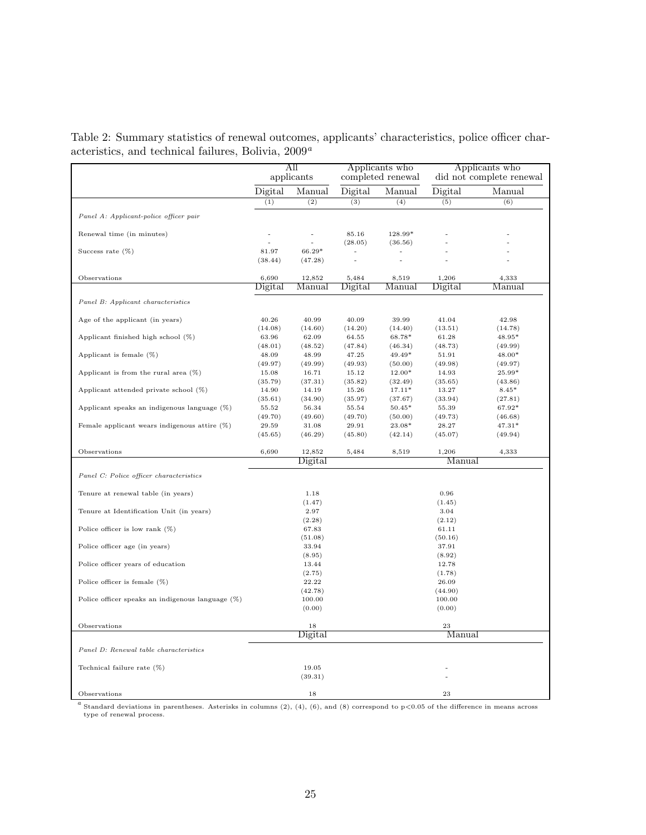Table 2: Summary statistics of renewal outcomes, applicants' characteristics, police officer characteristics, and technical failures, Bolivia,  $2009^a$ 

|                                                     |                  | All<br>applicants |                  | Applicants who<br>completed renewal |                  | Applicants who<br>did not complete renewal |
|-----------------------------------------------------|------------------|-------------------|------------------|-------------------------------------|------------------|--------------------------------------------|
|                                                     | Digital          | Manual            | Digital          | Manual                              | Digital          | Manual                                     |
|                                                     | (1)              | (2)               | (3)              | (4)                                 | (5)              | (6)                                        |
| Panel A: Applicant-police officer pair              |                  |                   |                  |                                     |                  |                                            |
| Renewal time (in minutes)                           |                  |                   | 85.16<br>(28.05) | 128.99*<br>(36.56)                  |                  |                                            |
| Success rate $(\%)$                                 | 81.97<br>(38.44) | 66.29*<br>(47.28) | ä,               |                                     |                  |                                            |
| Observations                                        | 6,690            | 12,852            | 5,484            | 8,519                               | 1,206            | 4,333                                      |
|                                                     | Digital          | Manual            | Digital          | Manual                              | Digital          | Manual                                     |
| Panel B: Applicant characteristics                  |                  |                   |                  |                                     |                  |                                            |
| Age of the applicant (in years)                     | 40.26<br>(14.08) | 40.99<br>(14.60)  | 40.09<br>(14.20) | 39.99<br>(14.40)                    | 41.04<br>(13.51) | 42.98<br>(14.78)                           |
| Applicant finished high school (%)                  | 63.96            | 62.09             | 64.55            | 68.78*                              | 61.28            | 48.95*                                     |
| Applicant is female $(\%)$                          | (48.01)<br>48.09 | (48.52)<br>48.99  | (47.84)<br>47.25 | (46.34)<br>$49.49*$                 | (48.73)<br>51.91 | (49.99)<br>48.00*                          |
|                                                     | (49.97)          | (49.99)           | (49.93)          | (50.00)                             | (49.98)          | (49.97)                                    |
| Applicant is from the rural area $(\%)$             | 15.08            | 16.71             | 15.12            | $12.00*$                            | 14.93            | 25.99*                                     |
|                                                     | (35.79)          | (37.31)           | (35.82)          | (32.49)                             | (35.65)          | (43.86)                                    |
| Applicant attended private school $(\%)$            | 14.90            | 14.19             | 15.26            | $17.11*$                            | 13.27            | $8.45*$                                    |
|                                                     | (35.61)          | (34.90)           | (35.97)          | (37.67)                             | (33.94)          | (27.81)                                    |
| Applicant speaks an indigenous language (%)         | 55.52<br>(49.70) | 56.34<br>(49.60)  | 55.54<br>(49.70) | $50.45*$<br>(50.00)                 | 55.39<br>(49.73) | 67.92*<br>(46.68)                          |
| Female applicant wears indigenous attire $(\%)$     | 29.59            | 31.08             | 29.91            | 23.08*                              | 28.27            | $47.31*$                                   |
|                                                     | (45.65)          | (46.29)           | (45.80)          | (42.14)                             | (45.07)          | (49.94)                                    |
| Observations                                        | 6,690            | 12,852            | 5,484            | 8,519                               | 1,206            | 4,333                                      |
|                                                     |                  | Digital           |                  |                                     | Manual           |                                            |
| Panel C: Police officer characteristics             |                  |                   |                  |                                     |                  |                                            |
| Tenure at renewal table (in years)                  |                  | 1.18              |                  |                                     | 0.96             |                                            |
|                                                     |                  | (1.47)            |                  |                                     | (1.45)           |                                            |
| Tenure at Identification Unit (in years)            |                  | 2.97<br>(2.28)    |                  |                                     | 3.04<br>(2.12)   |                                            |
| Police officer is low rank $(\%)$                   |                  | 67.83             |                  |                                     | 61.11            |                                            |
|                                                     |                  | (51.08)           |                  |                                     | (50.16)          |                                            |
| Police officer age (in years)                       |                  | 33.94             |                  |                                     | 37.91            |                                            |
|                                                     |                  | (8.95)            |                  |                                     | (8.92)           |                                            |
| Police officer years of education                   |                  | 13.44<br>(2.75)   |                  |                                     | 12.78<br>(1.78)  |                                            |
| Police officer is female $(\%)$                     |                  | 22.22             |                  |                                     | 26.09            |                                            |
|                                                     |                  | (42.78)           |                  |                                     | (44.90)          |                                            |
| Police officer speaks an indigenous language $(\%)$ |                  | 100.00            |                  |                                     | 100.00           |                                            |
|                                                     |                  | (0.00)            |                  |                                     | (0.00)           |                                            |
| Observations                                        |                  | 18                |                  |                                     | 23               |                                            |
|                                                     |                  | Digital           |                  |                                     | Manual           |                                            |
| Panel D: Renewal table characteristics              |                  |                   |                  |                                     |                  |                                            |
| Technical failure rate (%)                          |                  | 19.05             |                  |                                     |                  |                                            |
|                                                     |                  | (39.31)           |                  |                                     |                  |                                            |
| Observations                                        |                  | 18                |                  |                                     | 23               |                                            |

<sup>a</sup> Standard deviations in parentheses. Asterisks in columns (2), (4), (6), and (8) correspond to p<0.05 of the difference in means across type of renewal process.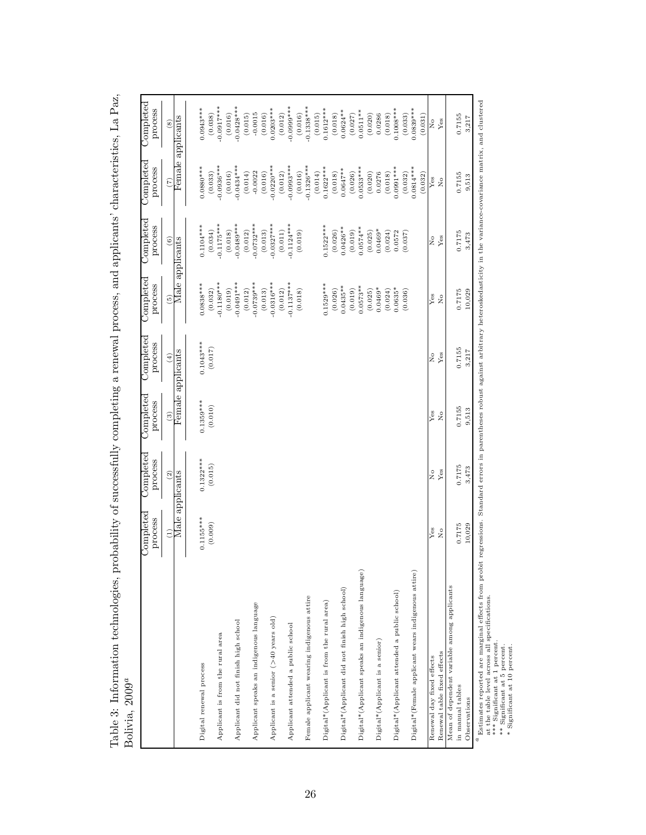| $2011$ V $12, 2009$                                | $\cup$ ompleted                       | $\overline{\text{Complete}}$          | $\cup$ ompleted | $\cup$ ompleted   | <b>Completed</b>        | $\text{Complete}$       | $\cup$ ompleted                       | $\cup$ ompleted        |
|----------------------------------------------------|---------------------------------------|---------------------------------------|-----------------|-------------------|-------------------------|-------------------------|---------------------------------------|------------------------|
|                                                    | process                               | process                               | process         | process           | process                 | process                 | process                               | process                |
|                                                    | $\widehat{E}$                         | (2)                                   | $\widehat{c}$   | $\left( 4\right)$ | $\binom{5}{5}$          | $\binom{6}{ }$          | (7)                                   | $\left( 8\right)$      |
|                                                    | Male applicants                       |                                       |                 | Female applicants | Male applicants         |                         |                                       | Female applicants      |
| Digital renewal process                            | $0.1155***$                           | $0.1322***$                           | $0.1359***$     | $0.1043***$       | $0.0838***$             | $0.1104***$             | $0.0880***$                           | $0.0943***$            |
|                                                    | (0.009)                               | (0.015)                               | (0.010)         | (0.017)           | (0.032)                 | (0.034)                 | (0.033)                               | (0.038)                |
| Applicant is from the rural area                   |                                       |                                       |                 |                   | $0.1180***$             | $0.1175***$             | $0.0936***$                           | $0.0917***$            |
| Applicant did not finish high school               |                                       |                                       |                 |                   | $0.0491***$<br>(0.019)  | $0.0489***$<br>(0.018)  | $0.0434***$<br>(0.016)                | $0.0428***$<br>(0.016) |
|                                                    |                                       |                                       |                 |                   | (0.012)                 | (0.012)                 | (0.014)                               | (0.015)                |
| Applicant speaks an indigenous language            |                                       |                                       |                 |                   | $-0.0739***$            | $-0.0732***$            | $-0.0022$                             | $-0.0015$              |
| Applicant is a senior (>40 years old)              |                                       |                                       |                 |                   | $-0.0316***$<br>(0.013) | $-0.0327***$<br>(0.013) | $-0.0220***$<br>(0.016)               | $0.0203***$<br>(0.016) |
|                                                    |                                       |                                       |                 |                   | (0.012)                 | (0.011)                 | (0.012)                               | (0.012)                |
| Applicant attended a public school                 |                                       |                                       |                 |                   | $-0.1137***$            | $0.1124***$             | $-0.0993***$                          | $-0.0999***$           |
|                                                    |                                       |                                       |                 |                   | (0.018)                 | (0.019)                 | (0.016)                               | (0.016)                |
| Female applicant wearing indigenous attire         |                                       |                                       |                 |                   |                         |                         | $-0.1326***$                          | $0.1338***$            |
|                                                    |                                       |                                       |                 |                   |                         |                         | (0.014)                               | (0.015)                |
| Digital*(Applicant is from the rural area)         |                                       |                                       |                 |                   | $0.1529***$             | $0.1522***$             | $0.1622***$                           | $0.1612***$            |
|                                                    |                                       |                                       |                 |                   | (0.026)                 | (0.026)                 | (0.018)                               | (0.018)                |
| Digital*(Applicant did not finish high school)     |                                       |                                       |                 |                   | $0.0435***$             | $0.0426**$              | $0.0647**$                            | $0.0624**$             |
|                                                    |                                       |                                       |                 |                   | $0.0573**$<br>(0.019)   | $0.0574**$<br>(0.019)   | $0.0533***$<br>(0.026)                | $0.0511**$<br>(0.027)  |
| Digital*(Applicant speaks an indigenous language)  |                                       |                                       |                 |                   | (0.025)                 | (0.025)                 | (0.020)                               | (0.020)                |
| Digital*(Applicant is a senior)                    |                                       |                                       |                 |                   | $0.0469*$               | $0.0469*$               | 0.0276                                | 0.0286                 |
|                                                    |                                       |                                       |                 |                   | (0.024)                 | (0.024)                 | (0.018)                               | (0.018)                |
| Digital*(Applicant attended a public school)       |                                       |                                       |                 |                   | $0.0635*$               | 0.0572                  | $0.0991***$                           | $0.1008***$            |
|                                                    |                                       |                                       |                 |                   | (0.036)                 | (0.037)                 | (0.032)                               | (0.033)                |
| Digital*(Female applicant wears indigenous attire) |                                       |                                       |                 |                   |                         |                         | $0.0814***$<br>(0.032)                | $0.0839***$<br>(0.031) |
| Renewal day fixed effects                          | Yes                                   | $\stackrel{\circ}{\phantom{}_{\sim}}$ | Yes             | $\frac{1}{2}$     | Yes                     | $\tilde{z}$             | $Y$ es                                | $\tilde{z}$            |
| Renewal table fixed effects                        | $\stackrel{\circ}{\phantom{}_{\sim}}$ | Yes                                   | $\overline{R}$  | Yes               | $\frac{1}{2}$           | Yes                     | $\stackrel{\circ}{\phantom{}_{\sim}}$ | $\mathbf{Yes}$         |
| Mean of dependent variable among applicants        |                                       |                                       |                 |                   |                         |                         |                                       |                        |
| in manual tables                                   | 0.7175                                | 0.7175                                | 0.7155          | 0.7155            | 0.7175                  | 0.7175                  | 0.7155                                | 0.7155                 |
| Observations                                       | 10,029                                | 3,473                                 | 9,513           | 3,217             | 10,029                  | 3,473                   | 9,513                                 | 3,217                  |
|                                                    |                                       |                                       |                 |                   |                         |                         |                                       |                        |

Table 3: Information technologies, probability of successfully completing a renewal process, and applicants' characteristics, La Paz, Table 3: Information technologies, probability of successfully completing a renewal process, and applicants' characteristics, La Paz, Bolivia, 2009 a

Estimates reported are marginal effects from probit regressions. Standard errors in parentheses robust against arbitrary heteroskedasticity in the variance-covariance matrix, and clustered<br>at the table level across all spe Estimates reported are marginal effects from probit regressions. Standard errors in parentheses robust against arbitrary heteroskedasticity in the variance-covariance matrix, and clustered at the table level across all specifications.

\*\*\* Significant at 1 percent.

\*\* Significant at 5 percent.

\* Significant at 10 percent.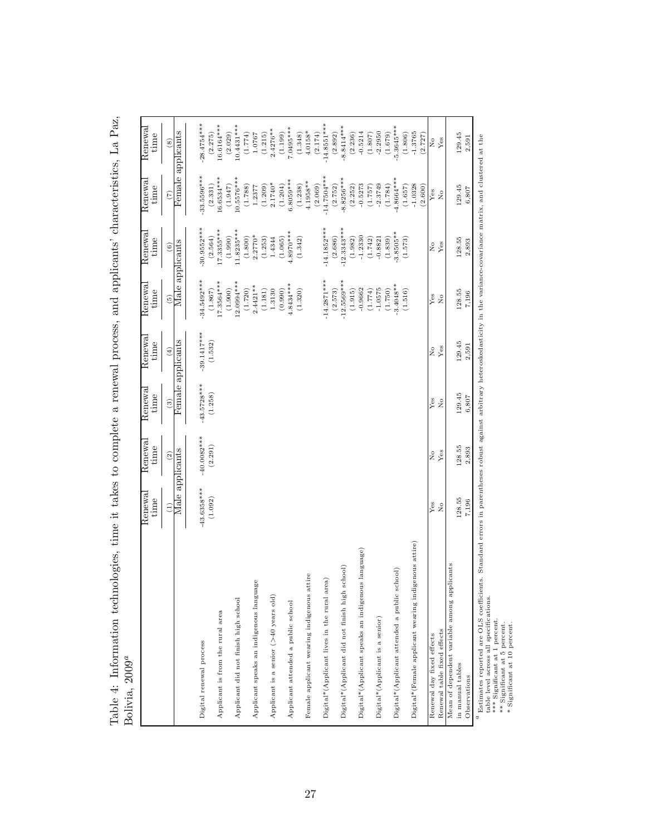|                                                      | Renewal<br>time | Renewal<br>time | Renewal<br>time      | Renewal<br>time   | Renewal<br>time          | Renewa<br>time           | Renewa<br>time          | Renewal<br>time         |
|------------------------------------------------------|-----------------|-----------------|----------------------|-------------------|--------------------------|--------------------------|-------------------------|-------------------------|
|                                                      | $\widehat{E}$   | (2)             | $\widehat{c}$        | $\overline{4}$    | $\widetilde{5}$          | $\widehat{6}$            | (7)                     | $\left(8\right)$        |
|                                                      |                 | Male applicants |                      | Female applicants |                          | Male applicants          | Female applicants       |                         |
| Digital renewal process                              | $-43.6358***$   | $-40.0082***$   | $-43.5728***$        | $-39.1417***$     | $-34.5492***$            | $-30.9552***$            | $33.5596***$            | $-28.4754***$           |
| Applicant is from the rural area                     | (1.092)         | (2.291)         | (1.258)              | (1.532)           | 17.3564***<br>(1.867)    | $17.3355***$<br>(2.564)  | $16.6534***$<br>(2.331) | 16.6164***<br>(2.275)   |
| Applicant did not finish high school                 |                 |                 |                      |                   | $12.0994***$<br>(1.900)  | $1.8235***$<br>(1.990)   | $10.5576***$<br>(1.947) | $10.4431***$<br>(2.029) |
|                                                      |                 |                 |                      |                   | (1.720)                  | (1.800)                  | (1.788)                 | (1.774)                 |
| Applicant speaks an indigenous language              |                 |                 |                      |                   | $2.4421**$               | $2.2770*$                | 1.2377                  | 1.0767                  |
| Applicant is a senior (>40 years old)                |                 |                 |                      |                   | (1.181)<br>1.3130        | 1.4344<br>(1.253)        | $2.1740*$<br>(1.209)    | $2.4276**$<br>(1.215)   |
|                                                      |                 |                 |                      |                   | (0.990)                  | (1.065)                  | (1.204)                 | (1.199)                 |
| Applicant attended a public school                   |                 |                 |                      |                   | $4.8434***$              | $1.8970***$              | 3.8059***               | 7.0495****              |
|                                                      |                 |                 |                      |                   | (1.320)                  | (1.342)                  | (1.238)                 | (1.348)                 |
| Female applicant wearing indigenous attire           |                 |                 |                      |                   |                          |                          | $4.1958**$              | $4.0158*$               |
|                                                      |                 |                 |                      |                   |                          |                          | (2.069)                 | (2.174)                 |
| Digital*(Applicant lives in the rural area)          |                 |                 |                      |                   | $-14.2871***$            | $-14.1852***$            | $-14.7504***$           | $-14.8551***$           |
| Digital*(Applicant did not finish high school)       |                 |                 |                      |                   | $-12.5569***$<br>(2.573) | $-12.3343***$<br>(2.686) | $-8.8256***$<br>(2.752) | $-8.8414***$<br>(2.892) |
|                                                      |                 |                 |                      |                   | (1.915)                  | (1.982)                  | (2.252)                 | (2.236)                 |
| Digital*(Applicant speaks an indigenous language)    |                 |                 |                      |                   | $-0.9662$                | $-1.2330$                | $-0.5273$               | $-0.5214$               |
|                                                      |                 |                 |                      |                   | (1.774)                  | (1.742)                  | (1.757)                 | (1.807)                 |
| Digital*(Applicant is a senior)                      |                 |                 |                      |                   | $-1.0575$<br>(1.750)     | $-0.8821$<br>(1.839)     | $-2.3749$<br>(1.784)    | $-2.2950$<br>(1.679)    |
| Digital*(Applicant attended a public school)         |                 |                 |                      |                   | $-3.4048**$              | $-3.8505**$              | $-4.8664***$            | $-5.3645***$            |
|                                                      |                 |                 |                      |                   | (1.516)                  | (1.573)                  | (1.657)                 | (1.806)                 |
| Digital*(Female applicant wearing indigenous attire) |                 |                 |                      |                   |                          |                          | $-1.0328$               | $-1.3765$               |
|                                                      |                 |                 |                      |                   |                          |                          | (2.600)                 | (2.727)                 |
| Renewal day fixed effects                            | Yes             | $\tilde{z}$     | Yes                  | $\tilde{z}$       | Yes                      | $\tilde{z}$              | Yes                     | $\tilde{X}^{\circ}$     |
| Renewal table fixed effects                          | $\frac{1}{2}$   | Yes             | $\tilde{\mathbf{z}}$ | Yes               | $_{\rm Xo}$              | Yes                      | $\tilde{\mathbf{X}}$    | Yes                     |
| Mean of dependent variable among applicants          |                 |                 |                      |                   |                          |                          |                         |                         |
| in manual tables                                     | 128.55          | 128.55          | 129.45               | 129.45            | 128.55                   | 128.55                   | 129.45                  | 129.45                  |
| Observations                                         | 7,196           | 2,893           | 6,807                | 2,591             | 7,196                    | 2,893                    | 6,807                   | 2,591                   |

Table 4: Information technologies, time it takes to complete a renewal process, and applicants' characteristics, La Paz, Bolivia, 2009 a

 Estimates reported are OLS coefficients. Standard errors in parentheses robust against arbitrary heteroskedasticity in the variance-covariance matrix, and clustered at the Estimates reported are OLS coefficit<br>\*\*\* Significant at 1 presifications.<br>\*\*\* Significant at 5 percent.<br>\*\* Significant at 5 percent.<br>\* Significant at 10 percent.

table level across all specifications.

\*\*\* Significant at 1 percent.

\*\* Significant at 5 percent.

\* Significant at 10 percent.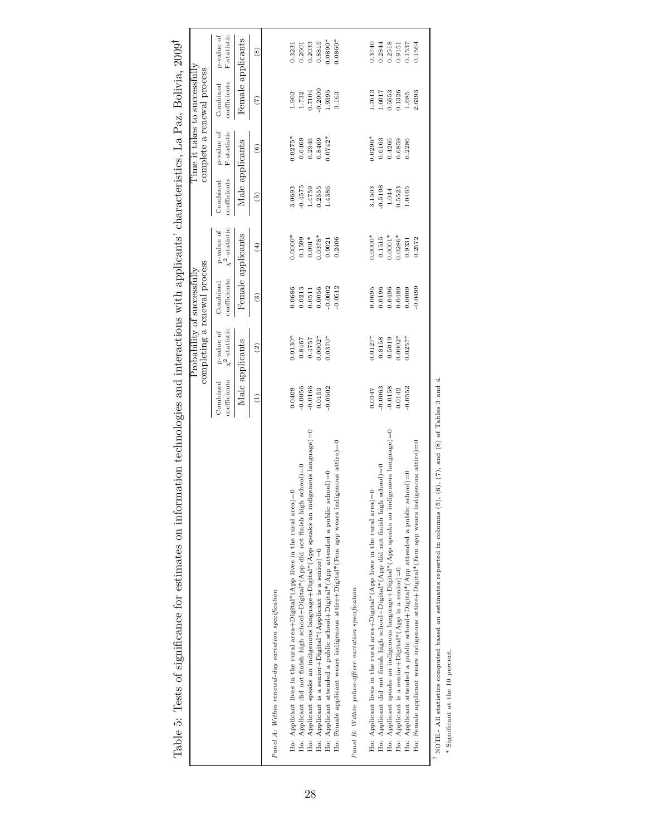|                                                                                                                           |                          | completing a renewal process<br>Probability of successfully |                          |                                |                          |                           | Time it takes to successfully<br>complete a renewal process |                           |
|---------------------------------------------------------------------------------------------------------------------------|--------------------------|-------------------------------------------------------------|--------------------------|--------------------------------|--------------------------|---------------------------|-------------------------------------------------------------|---------------------------|
|                                                                                                                           | coefficients<br>Combined | p-value of $\chi^2\text{-statistic}$                        | coefficients<br>Combined | p-value of $\chi^2$ -statistic | coefficients<br>Combined | F-statistic<br>p-value of | coefficients<br>Combined                                    | F-statistic<br>p-value of |
|                                                                                                                           | Male applicants          |                                                             |                          | Female applicants              | Male applicants          |                           | Female applicants                                           |                           |
|                                                                                                                           | $\widehat{E}$            | $\widehat{c}$                                               | $\widehat{c}$            | $\left( 4\right)$              | $\widehat{5}$            | $\widehat{\circ}$         | $\widehat{C}$                                               | $\widehat{\mathbf{S}}$    |
| Panel A: Within renewal-day variation specification                                                                       |                          |                                                             |                          |                                |                          |                           |                                                             |                           |
| Ho: Applicant lives in the rural area+Digital*(App lives in the rural area)=0                                             | 0.0409                   | $0.0130*$                                                   | 0.0686                   | $0.0000*$                      | 3.0693                   | $0.0275*$                 | 1.903                                                       | 0.3231                    |
| $school$ =0<br>Ho: Applicant did not finish high school+Digital*(App did not finish high                                  | $-0.0056$                | 0.8467                                                      | 0.0213                   | 0.1599                         | $-0.4575$                | 0.6469                    | 1.732                                                       | 0.2601                    |
| igenous language)=0<br>Ho: Applicant speaks an indigenous language+Digital*(App speaks an ind                             | $-0.0166$                | 0.4757                                                      | 0.0511                   | $0.001*$                       | 1.4759                   | 0.2946                    | 0.7104                                                      | 0.2033                    |
| Ho: Applicant is a senior+Digital*(Applicant is a senior)=0                                                               | 0.0153                   | $0.0002*$                                                   | 0.0056                   | $0.0378*$                      | 0.2555                   | 0.8469                    | 0.2009                                                      | 0.8815                    |
| Ho: Applicant attended a public school+Digital*(App attended a public school)=0                                           | $-0.0502$                | $0.0370*$                                                   | $-0.0002$                | 0.9021                         | 1.4386                   | $0.0742*$                 | 1.9395                                                      | $0.0890*$                 |
| ligenous attire)=0<br>Ho: Female applicant wears indigenous attire+Digital*(Fem app wears ind                             |                          |                                                             | $-0.0512$                | 0.2406                         |                          |                           | 3.163                                                       | $0.0860*$                 |
| Panel B: Within police-officer variation specification                                                                    |                          |                                                             |                          |                                |                          |                           |                                                             |                           |
| Ho: Applicant lives in the rural area+Digital*(App lives in the rural area)=0                                             | 0.0347                   | $0.0127*$                                                   | 0.0695                   | $0.0000*$                      | 3.1503                   | $0.0296*$                 | 1.7613                                                      | 1.3740                    |
| $school)=0$<br>Ho: Applicant did not finish high school+Digital*(App did not finish high                                  | $-0.0063$                | 0.8158                                                      | 0.0196                   | 0.1515                         | $-0.5108$                | 0.6163                    | 1.6017                                                      | 0.2844                    |
| igenous language)=0<br>Ho: Applicant speaks an indigenous language+Digital*(App speaks an ind                             | $-0.0158$                | 0.5019                                                      | 0.0496                   | $0.0001*$                      | 1.044                    | 0.4266                    | 0.5553                                                      | 0.2518                    |
| Ho: Applicant is a senior+Digital*(App is a senior)=0                                                                     | 0.0142                   | $0.0002*$                                                   | 0.0489                   | $0.0286*$                      | 0.5523                   | 0.6859                    | 0.1326                                                      | 0.9151                    |
| Ho: Applicant attended a public school+Digital*(App attended a public school)=0                                           | $-0.0552$                | $0.0257*$                                                   | 0.0009                   | 0.9331                         | 1.0465                   | 0.2286                    | 1.685                                                       | 0.1537                    |
| igenous attire)=0<br>Ho: Female applicant wears indigenous attire+Digital*(Fem app wears ind                              |                          |                                                             | $-0.0499$                | 0.2572                         |                          |                           | 2.6393                                                      | 0.1564                    |
| NOTE. All statistics computed based on estimates reported in columns $(5)$ , $(6)$ , $(7)$ , and $(8)$ of Tables 3 and 4. |                          |                                                             |                          |                                |                          |                           |                                                             |                           |

Table 5: Tests of significance for estimates on information technologies and interactions with applicants' characteristics, La Paz, Bolivia, 2009 †

\* Significant at the 10 percent. \* Significant at the 10 percent.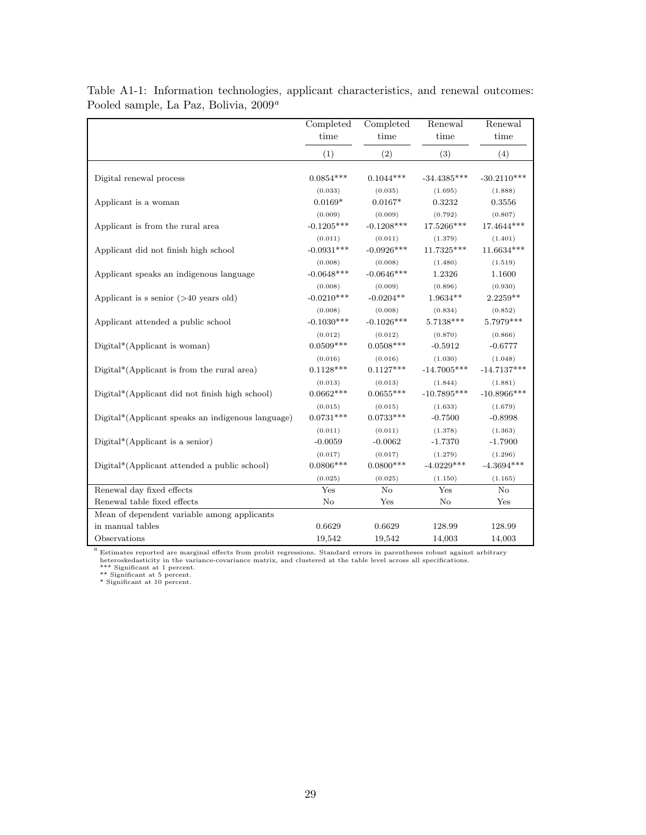|                                                                 | Completed    | Completed    | Renewal       | Renewal        |
|-----------------------------------------------------------------|--------------|--------------|---------------|----------------|
|                                                                 | time         | time         | time          | time           |
|                                                                 | (1)          | (2)          | (3)           | (4)            |
| Digital renewal process                                         | $0.0854***$  | $0.1044***$  | $-34.4385***$ | $-30.2110***$  |
| Applicant is a woman                                            | (0.033)      | (0.035)      | (1.695)       | (1.888)        |
|                                                                 | $0.0169*$    | $0.0167*$    | 0.3232        | 0.3556         |
| Applicant is from the rural area                                | (0.009)      | (0.009)      | (0.792)       | (0.807)        |
|                                                                 | $-0.1205***$ | $-0.1208***$ | 17.5266***    | 17.4644***     |
| Applicant did not finish high school                            | (0.011)      | (0.011)      | (1.379)       | (1.401)        |
|                                                                 | $-0.0931***$ | $-0.0926***$ | 11.7325***    | $11.6634***$   |
| Applicant speaks an indigenous language                         | (0.008)      | (0.008)      | (1.480)       | (1.519)        |
|                                                                 | $-0.0648***$ | $-0.0646***$ | 1.2326        | 1.1600         |
| Applicant is s senior $($ >40 years old)                        | (0.008)      | (0.009)      | (0.896)       | (0.930)        |
|                                                                 | $-0.0210***$ | $-0.0204**$  | $1.9634**$    | $2.2259**$     |
| Applicant attended a public school                              | (0.008)      | (0.008)      | (0.834)       | (0.852)        |
|                                                                 | $-0.1030***$ | $-0.1026***$ | 5.7138***     | 5.7979***      |
| $Digital*(Application is woman)$                                | (0.012)      | (0.012)      | (0.870)       | (0.866)        |
|                                                                 | $0.0509***$  | $0.0508***$  | $-0.5912$     | $-0.6777$      |
| Digital*(Applicant is from the rural area)                      | (0.016)      | (0.016)      | (1.030)       | (1.048)        |
|                                                                 | $0.1128***$  | $0.1127***$  | $-14.7005***$ | $-14.7137***$  |
| Digital*(Applicant did not finish high school)                  | (0.013)      | (0.013)      | (1.844)       | (1.881)        |
|                                                                 | $0.0662***$  | $0.0655***$  | $-10.7895***$ | $-10.8966$ *** |
| Digital*(Applicant speaks an indigenous language)               | (0.015)      | (0.015)      | (1.633)       | (1.679)        |
|                                                                 | $0.0731***$  | $0.0733***$  | $-0.7500$     | $-0.8998$      |
| $Digital*(Application is a senior)$                             | (0.011)      | (0.011)      | (1.378)       | (1.363)        |
|                                                                 | $-0.0059$    | $-0.0062$    | $-1.7370$     | $-1.7900$      |
| Digital*(Applicant attended a public school)                    | (0.017)      | (0.017)      | (1.279)       | (1.296)        |
|                                                                 | $0.0806***$  | $0.0800***$  | $-4.0229***$  | $-4.3694***$   |
|                                                                 | (0.025)      | (0.025)      | (1.150)       | (1.165)        |
| Renewal day fixed effects                                       | Yes          | $\rm No$     | Yes           | $\rm No$       |
| Renewal table fixed effects                                     | $\rm No$     | Yes          | $\rm No$      | Yes            |
| Mean of dependent variable among applicants<br>in manual tables | 0.6629       | 0.6629       | 128.99        | 128.99         |
| Observations                                                    | 19,542       | 19,542       | 14,003        | 14,003         |

Table A1-1: Information technologies, applicant characteristics, and renewal outcomes: Pooled sample, La Paz, Bolivia,  $2009^a$ 

 $^a$  Estimates reported are marginal effects from probit regressions. Standard errors in parentheses robust against arbitrary heterosked<br>asticity in the variance-covariance matrix, and clustered at the table level across